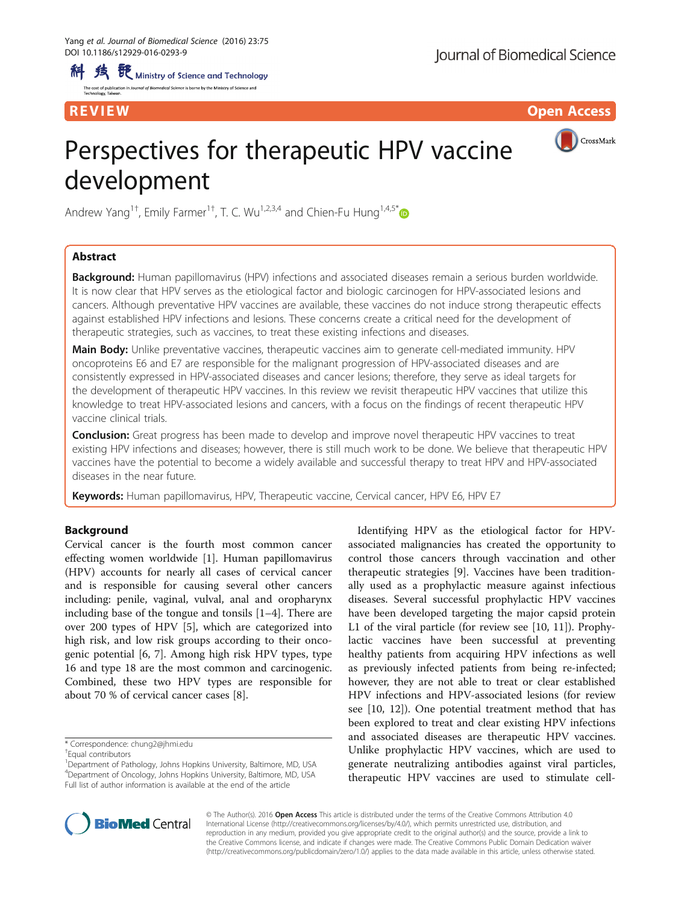R EVI EW Open Access and the contract of the contract of the contract of the contract of the contract of the c

CrossMark

# Perspectives for therapeutic HPV vaccine development

Andrew Yang<sup>1†</sup>, Emily Farmer<sup>1†</sup>, T. C. Wu<sup>1,2,3,4</sup> and Chien-Fu Hung<sup>1,4,5[\\*](http://orcid.org/0000-0001-9170-7797)</sup>

# Abstract

Background: Human papillomavirus (HPV) infections and associated diseases remain a serious burden worldwide. It is now clear that HPV serves as the etiological factor and biologic carcinogen for HPV-associated lesions and cancers. Although preventative HPV vaccines are available, these vaccines do not induce strong therapeutic effects against established HPV infections and lesions. These concerns create a critical need for the development of therapeutic strategies, such as vaccines, to treat these existing infections and diseases.

Main Body: Unlike preventative vaccines, therapeutic vaccines aim to generate cell-mediated immunity. HPV oncoproteins E6 and E7 are responsible for the malignant progression of HPV-associated diseases and are consistently expressed in HPV-associated diseases and cancer lesions; therefore, they serve as ideal targets for the development of therapeutic HPV vaccines. In this review we revisit therapeutic HPV vaccines that utilize this knowledge to treat HPV-associated lesions and cancers, with a focus on the findings of recent therapeutic HPV vaccine clinical trials.

**Conclusion:** Great progress has been made to develop and improve novel therapeutic HPV vaccines to treat existing HPV infections and diseases; however, there is still much work to be done. We believe that therapeutic HPV vaccines have the potential to become a widely available and successful therapy to treat HPV and HPV-associated diseases in the near future.

Keywords: Human papillomavirus, HPV, Therapeutic vaccine, Cervical cancer, HPV E6, HPV E7

# Background

Cervical cancer is the fourth most common cancer effecting women worldwide [[1](#page-16-0)]. Human papillomavirus (HPV) accounts for nearly all cases of cervical cancer and is responsible for causing several other cancers including: penile, vaginal, vulval, anal and oropharynx including base of the tongue and tonsils [[1](#page-16-0)–[4\]](#page-16-0). There are over 200 types of HPV [\[5](#page-16-0)], which are categorized into high risk, and low risk groups according to their oncogenic potential [\[6](#page-16-0), [7](#page-16-0)]. Among high risk HPV types, type 16 and type 18 are the most common and carcinogenic. Combined, these two HPV types are responsible for about 70 % of cervical cancer cases [[8\]](#page-16-0).

Identifying HPV as the etiological factor for HPVassociated malignancies has created the opportunity to control those cancers through vaccination and other therapeutic strategies [\[9\]](#page-16-0). Vaccines have been traditionally used as a prophylactic measure against infectious diseases. Several successful prophylactic HPV vaccines have been developed targeting the major capsid protein L1 of the viral particle (for review see [[10](#page-16-0), [11\]](#page-16-0)). Prophylactic vaccines have been successful at preventing healthy patients from acquiring HPV infections as well as previously infected patients from being re-infected; however, they are not able to treat or clear established HPV infections and HPV-associated lesions (for review see [[10](#page-16-0), [12\]](#page-16-0)). One potential treatment method that has been explored to treat and clear existing HPV infections and associated diseases are therapeutic HPV vaccines. Unlike prophylactic HPV vaccines, which are used to generate neutralizing antibodies against viral particles, therapeutic HPV vaccines are used to stimulate cell-



© The Author(s). 2016 Open Access This article is distributed under the terms of the Creative Commons Attribution 4.0 International License [\(http://creativecommons.org/licenses/by/4.0/](http://creativecommons.org/licenses/by/4.0/)), which permits unrestricted use, distribution, and reproduction in any medium, provided you give appropriate credit to the original author(s) and the source, provide a link to the Creative Commons license, and indicate if changes were made. The Creative Commons Public Domain Dedication waiver [\(http://creativecommons.org/publicdomain/zero/1.0/](http://creativecommons.org/publicdomain/zero/1.0/)) applies to the data made available in this article, unless otherwise stated.

<sup>\*</sup> Correspondence: [chung2@jhmi.edu](mailto:chung2@jhmi.edu) †

Equal contributors

<sup>&</sup>lt;sup>1</sup>Department of Pathology, Johns Hopkins University, Baltimore, MD, USA 4 Department of Oncology, Johns Hopkins University, Baltimore, MD, USA Full list of author information is available at the end of the article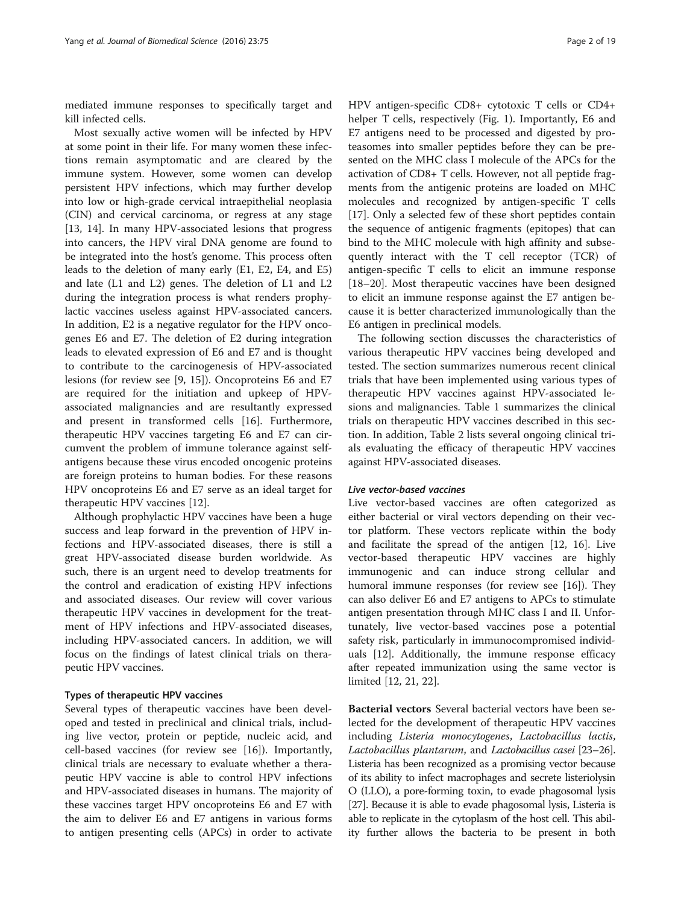mediated immune responses to specifically target and kill infected cells.

Most sexually active women will be infected by HPV at some point in their life. For many women these infections remain asymptomatic and are cleared by the immune system. However, some women can develop persistent HPV infections, which may further develop into low or high-grade cervical intraepithelial neoplasia (CIN) and cervical carcinoma, or regress at any stage [[13, 14\]](#page-16-0). In many HPV-associated lesions that progress into cancers, the HPV viral DNA genome are found to be integrated into the host's genome. This process often leads to the deletion of many early (E1, E2, E4, and E5) and late (L1 and L2) genes. The deletion of L1 and L2 during the integration process is what renders prophylactic vaccines useless against HPV-associated cancers. In addition, E2 is a negative regulator for the HPV oncogenes E6 and E7. The deletion of E2 during integration leads to elevated expression of E6 and E7 and is thought to contribute to the carcinogenesis of HPV-associated lesions (for review see [[9](#page-16-0), [15](#page-16-0)]). Oncoproteins E6 and E7 are required for the initiation and upkeep of HPVassociated malignancies and are resultantly expressed and present in transformed cells [\[16](#page-16-0)]. Furthermore, therapeutic HPV vaccines targeting E6 and E7 can circumvent the problem of immune tolerance against selfantigens because these virus encoded oncogenic proteins are foreign proteins to human bodies. For these reasons HPV oncoproteins E6 and E7 serve as an ideal target for therapeutic HPV vaccines [\[12\]](#page-16-0).

Although prophylactic HPV vaccines have been a huge success and leap forward in the prevention of HPV infections and HPV-associated diseases, there is still a great HPV-associated disease burden worldwide. As such, there is an urgent need to develop treatments for the control and eradication of existing HPV infections and associated diseases. Our review will cover various therapeutic HPV vaccines in development for the treatment of HPV infections and HPV-associated diseases, including HPV-associated cancers. In addition, we will focus on the findings of latest clinical trials on therapeutic HPV vaccines.

## Types of therapeutic HPV vaccines

Several types of therapeutic vaccines have been developed and tested in preclinical and clinical trials, including live vector, protein or peptide, nucleic acid, and cell-based vaccines (for review see [[16\]](#page-16-0)). Importantly, clinical trials are necessary to evaluate whether a therapeutic HPV vaccine is able to control HPV infections and HPV-associated diseases in humans. The majority of these vaccines target HPV oncoproteins E6 and E7 with the aim to deliver E6 and E7 antigens in various forms to antigen presenting cells (APCs) in order to activate HPV antigen-specific CD8+ cytotoxic T cells or CD4+ helper T cells, respectively (Fig. [1](#page-2-0)). Importantly, E6 and E7 antigens need to be processed and digested by proteasomes into smaller peptides before they can be presented on the MHC class I molecule of the APCs for the activation of CD8+ T cells. However, not all peptide fragments from the antigenic proteins are loaded on MHC molecules and recognized by antigen-specific T cells [[17\]](#page-16-0). Only a selected few of these short peptides contain the sequence of antigenic fragments (epitopes) that can bind to the MHC molecule with high affinity and subsequently interact with the T cell receptor (TCR) of antigen-specific T cells to elicit an immune response [[18](#page-16-0)–[20](#page-16-0)]. Most therapeutic vaccines have been designed to elicit an immune response against the E7 antigen because it is better characterized immunologically than the E6 antigen in preclinical models.

The following section discusses the characteristics of various therapeutic HPV vaccines being developed and tested. The section summarizes numerous recent clinical trials that have been implemented using various types of therapeutic HPV vaccines against HPV-associated lesions and malignancies. Table [1](#page-3-0) summarizes the clinical trials on therapeutic HPV vaccines described in this section. In addition, Table [2](#page-7-0) lists several ongoing clinical trials evaluating the efficacy of therapeutic HPV vaccines against HPV-associated diseases.

## Live vector-based vaccines

Live vector-based vaccines are often categorized as either bacterial or viral vectors depending on their vector platform. These vectors replicate within the body and facilitate the spread of the antigen [\[12, 16](#page-16-0)]. Live vector-based therapeutic HPV vaccines are highly immunogenic and can induce strong cellular and humoral immune responses (for review see [\[16](#page-16-0)]). They can also deliver E6 and E7 antigens to APCs to stimulate antigen presentation through MHC class I and II. Unfortunately, live vector-based vaccines pose a potential safety risk, particularly in immunocompromised individuals [[12](#page-16-0)]. Additionally, the immune response efficacy after repeated immunization using the same vector is limited [\[12](#page-16-0), [21](#page-16-0), [22](#page-16-0)].

Bacterial vectors Several bacterial vectors have been selected for the development of therapeutic HPV vaccines including Listeria monocytogenes, Lactobacillus lactis, Lactobacillus plantarum, and Lactobacillus casei [\[23](#page-16-0)–[26](#page-16-0)]. Listeria has been recognized as a promising vector because of its ability to infect macrophages and secrete listeriolysin O (LLO), a pore-forming toxin, to evade phagosomal lysis [[27](#page-16-0)]. Because it is able to evade phagosomal lysis, Listeria is able to replicate in the cytoplasm of the host cell. This ability further allows the bacteria to be present in both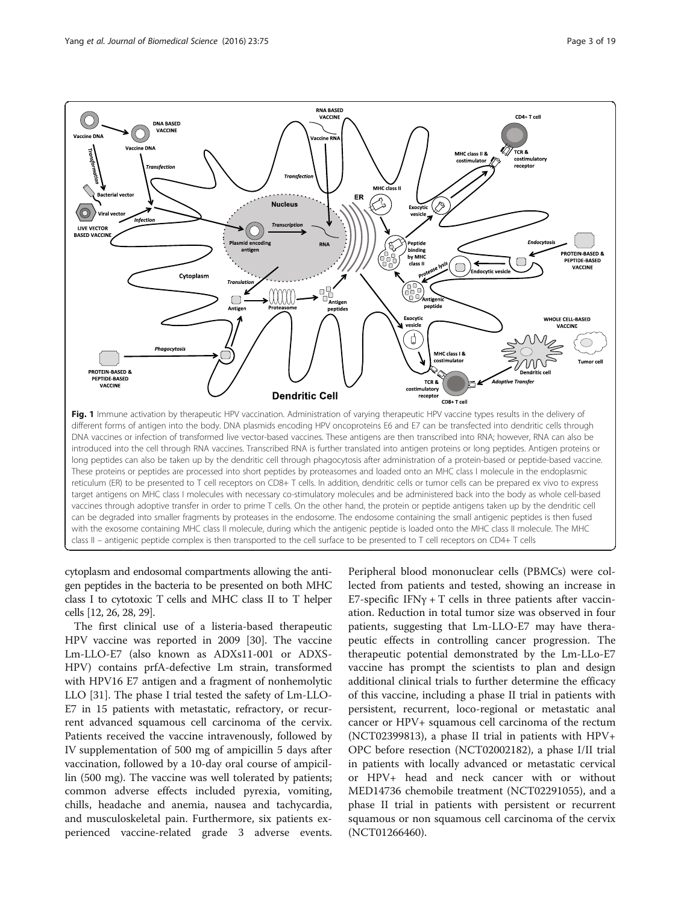<span id="page-2-0"></span>

cytoplasm and endosomal compartments allowing the antigen peptides in the bacteria to be presented on both MHC class I to cytotoxic T cells and MHC class II to T helper cells [\[12](#page-16-0), [26, 28, 29\]](#page-16-0).

The first clinical use of a listeria-based therapeutic HPV vaccine was reported in 2009 [[30](#page-16-0)]. The vaccine Lm-LLO-E7 (also known as ADXs11-001 or ADXS-HPV) contains prfA-defective Lm strain, transformed with HPV16 E7 antigen and a fragment of nonhemolytic LLO [[31](#page-16-0)]. The phase I trial tested the safety of Lm-LLO-E7 in 15 patients with metastatic, refractory, or recurrent advanced squamous cell carcinoma of the cervix. Patients received the vaccine intravenously, followed by IV supplementation of 500 mg of ampicillin 5 days after vaccination, followed by a 10-day oral course of ampicillin (500 mg). The vaccine was well tolerated by patients; common adverse effects included pyrexia, vomiting, chills, headache and anemia, nausea and tachycardia, and musculoskeletal pain. Furthermore, six patients experienced vaccine-related grade 3 adverse events. Peripheral blood mononuclear cells (PBMCs) were collected from patients and tested, showing an increase in E7-specific IFN $y + T$  cells in three patients after vaccination. Reduction in total tumor size was observed in four patients, suggesting that Lm-LLO-E7 may have therapeutic effects in controlling cancer progression. The therapeutic potential demonstrated by the Lm-LLo-E7 vaccine has prompt the scientists to plan and design additional clinical trials to further determine the efficacy of this vaccine, including a phase II trial in patients with persistent, recurrent, loco-regional or metastatic anal cancer or HPV+ squamous cell carcinoma of the rectum (NCT02399813), a phase II trial in patients with HPV+ OPC before resection (NCT02002182), a phase I/II trial in patients with locally advanced or metastatic cervical or HPV+ head and neck cancer with or without MED14736 chemobile treatment (NCT02291055), and a phase II trial in patients with persistent or recurrent squamous or non squamous cell carcinoma of the cervix (NCT01266460).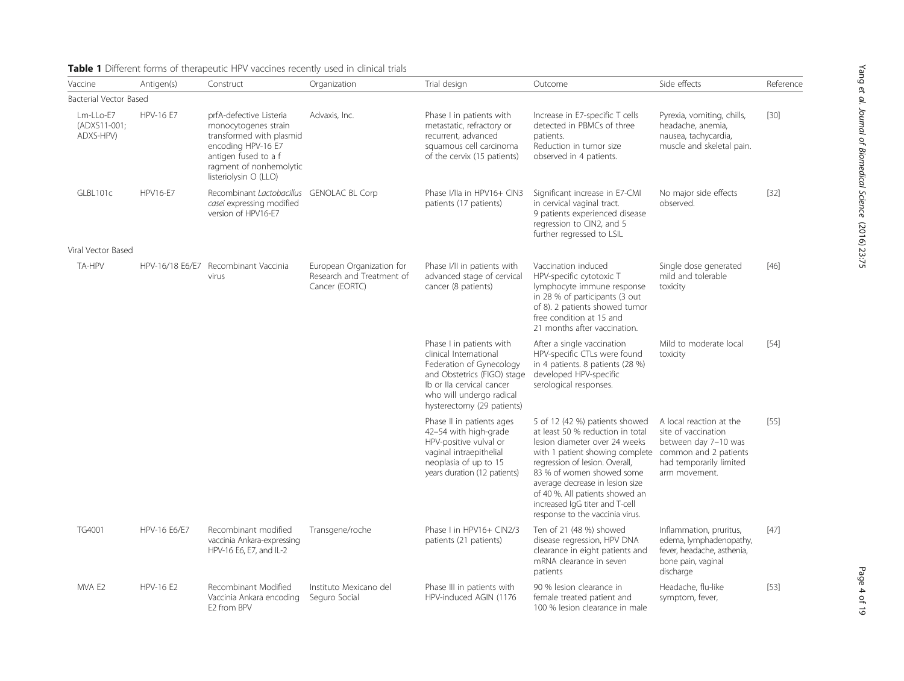# <span id="page-3-0"></span>Table 1 Different forms of therapeutic HPV vaccines recently used in clinical trials

| Vaccine                                | Antigen(s)       | Construct                                                                                                                                                                     | Organization                                                             | Trial design                                                                                                                                                                                         | Outcome                                                                                                                                                                                                                                                                                                                                                                | Side effects                                                                                                        | Reference |
|----------------------------------------|------------------|-------------------------------------------------------------------------------------------------------------------------------------------------------------------------------|--------------------------------------------------------------------------|------------------------------------------------------------------------------------------------------------------------------------------------------------------------------------------------------|------------------------------------------------------------------------------------------------------------------------------------------------------------------------------------------------------------------------------------------------------------------------------------------------------------------------------------------------------------------------|---------------------------------------------------------------------------------------------------------------------|-----------|
| Bacterial Vector Based                 |                  |                                                                                                                                                                               |                                                                          |                                                                                                                                                                                                      |                                                                                                                                                                                                                                                                                                                                                                        |                                                                                                                     |           |
| Lm-LLo-E7<br>(ADXS11-001;<br>ADXS-HPV) | <b>HPV-16 E7</b> | prfA-defective Listeria<br>monocytogenes strain<br>transformed with plasmid<br>encoding HPV-16 E7<br>antigen fused to a f<br>ragment of nonhemolytic<br>listeriolysin O (LLO) | Advaxis, Inc.                                                            | Phase I in patients with<br>metastatic, refractory or<br>recurrent, advanced<br>squamous cell carcinoma<br>of the cervix (15 patients)                                                               | Increase in E7-specific T cells<br>detected in PBMCs of three<br>patients.<br>Reduction in tumor size<br>observed in 4 patients.                                                                                                                                                                                                                                       | Pyrexia, vomiting, chills,<br>headache, anemia,<br>nausea, tachycardia,<br>muscle and skeletal pain.                | $[30]$    |
| GLBL101c                               | <b>HPV16-E7</b>  | Recombinant Lactobacillus<br>casei expressing modified<br>version of HPV16-E7                                                                                                 | <b>GENOLAC BL Corp</b>                                                   | Phase I/IIa in HPV16+ CIN3<br>patients (17 patients)                                                                                                                                                 | Significant increase in E7-CMI<br>in cervical vaginal tract.<br>9 patients experienced disease<br>regression to CIN2, and 5<br>further regressed to LSIL                                                                                                                                                                                                               | No major side effects<br>observed.                                                                                  | $[32]$    |
| Viral Vector Based                     |                  |                                                                                                                                                                               |                                                                          |                                                                                                                                                                                                      |                                                                                                                                                                                                                                                                                                                                                                        |                                                                                                                     |           |
| TA-HPV                                 |                  | HPV-16/18 E6/E7 Recombinant Vaccinia<br>virus                                                                                                                                 | European Organization for<br>Research and Treatment of<br>Cancer (EORTC) | Phase I/II in patients with<br>advanced stage of cervical<br>cancer (8 patients)                                                                                                                     | Vaccination induced<br>HPV-specific cytotoxic T<br>lymphocyte immune response<br>in 28 % of participants (3 out<br>of 8). 2 patients showed tumor<br>free condition at 15 and<br>21 months after vaccination.                                                                                                                                                          | Single dose generated<br>mild and tolerable<br>toxicity                                                             | $[46]$    |
|                                        |                  |                                                                                                                                                                               |                                                                          | Phase I in patients with<br>clinical International<br>Federation of Gynecology<br>and Obstetrics (FIGO) stage<br>Ib or IIa cervical cancer<br>who will undergo radical<br>hysterectomy (29 patients) | After a single vaccination<br>HPV-specific CTLs were found<br>in 4 patients. 8 patients (28 %)<br>developed HPV-specific<br>serological responses.                                                                                                                                                                                                                     | Mild to moderate local<br>toxicity                                                                                  | $[54]$    |
|                                        |                  |                                                                                                                                                                               |                                                                          | Phase II in patients ages<br>42-54 with high-grade<br>HPV-positive vulval or<br>vaginal intraepithelial<br>neoplasia of up to 15<br>years duration (12 patients)                                     | 5 of 12 (42 %) patients showed<br>at least 50 % reduction in total<br>lesion diameter over 24 weeks<br>with 1 patient showing complete common and 2 patients<br>regression of lesion. Overall,<br>83 % of women showed some<br>average decrease in lesion size<br>of 40 %. All patients showed an<br>increased IgG titer and T-cell<br>response to the vaccinia virus. | A local reaction at the<br>site of vaccination<br>between day 7-10 was<br>had temporarily limited<br>arm movement.  | $[55]$    |
| TG4001                                 | HPV-16 E6/E7     | Recombinant modified<br>vaccinia Ankara-expressing<br>HPV-16 E6, E7, and IL-2                                                                                                 | Transgene/roche                                                          | Phase I in HPV16+ CIN2/3<br>patients (21 patients)                                                                                                                                                   | Ten of 21 (48 %) showed<br>disease regression, HPV DNA<br>clearance in eight patients and<br>mRNA clearance in seven<br>patients                                                                                                                                                                                                                                       | Inflammation, pruritus,<br>edema, lymphadenopathy,<br>fever, headache, asthenia,<br>bone pain, vaginal<br>discharge | $[47]$    |
| MVA E2                                 | <b>HPV-16 E2</b> | Recombinant Modified<br>Vaccinia Ankara encoding<br>E <sub>2</sub> from BPV                                                                                                   | Instituto Mexicano del<br>Seguro Social                                  | Phase III in patients with<br>HPV-induced AGIN (1176                                                                                                                                                 | 90 % lesion clearance in<br>female treated patient and<br>100 % lesion clearance in male                                                                                                                                                                                                                                                                               | Headache, flu-like<br>symptom, fever,                                                                               | $[53]$    |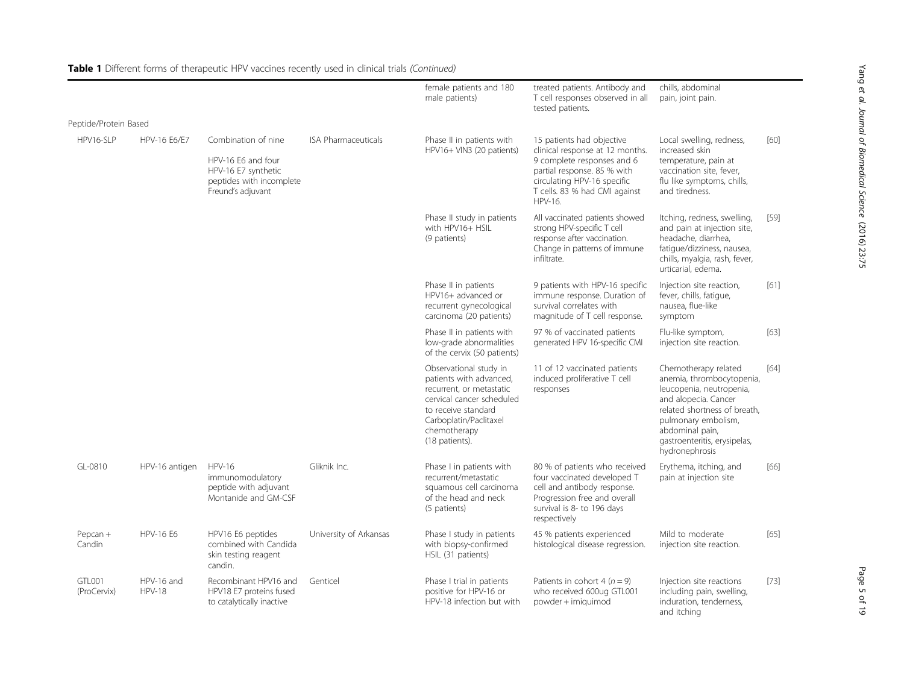| ang et ul. Journal of Blomedical Science |
|------------------------------------------|
|                                          |
| パイパークール<br>j<br>)<br> <br> <br>٦         |
|                                          |

Table 1 Different forms of therapeutic HPV vaccines recently used in clinical trials (Continued)

|                       |                             |                                                                                                                   |                            | female patients and 180<br>male patients)                                                                                                                                                     | treated patients. Antibody and<br>T cell responses observed in all<br>tested patients.                                                                                                               | chills, abdominal<br>pain, joint pain.                                                                                                                                                                                            |        |
|-----------------------|-----------------------------|-------------------------------------------------------------------------------------------------------------------|----------------------------|-----------------------------------------------------------------------------------------------------------------------------------------------------------------------------------------------|------------------------------------------------------------------------------------------------------------------------------------------------------------------------------------------------------|-----------------------------------------------------------------------------------------------------------------------------------------------------------------------------------------------------------------------------------|--------|
| Peptide/Protein Based |                             |                                                                                                                   |                            |                                                                                                                                                                                               |                                                                                                                                                                                                      |                                                                                                                                                                                                                                   |        |
| HPV16-SLP             | HPV-16 E6/E7                | Combination of nine<br>HPV-16 E6 and four<br>HPV-16 E7 synthetic<br>peptides with incomplete<br>Freund's adjuvant | <b>ISA Pharmaceuticals</b> | Phase II in patients with<br>HPV16+ VIN3 (20 patients)                                                                                                                                        | 15 patients had objective<br>clinical response at 12 months.<br>9 complete responses and 6<br>partial response. 85 % with<br>circulating HPV-16 specific<br>T cells. 83 % had CMI against<br>HPV-16. | Local swelling, redness,<br>increased skin<br>temperature, pain at<br>vaccination site, fever,<br>flu like symptoms, chills,<br>and tiredness.                                                                                    | [60]   |
|                       |                             |                                                                                                                   |                            | Phase II study in patients<br>with HPV16+ HSIL<br>(9 patients)                                                                                                                                | All vaccinated patients showed<br>strong HPV-specific T cell<br>response after vaccination.<br>Change in patterns of immune<br>infiltrate.                                                           | Itching, redness, swelling,<br>and pain at injection site,<br>headache, diarrhea,<br>fatigue/dizziness, nausea,<br>chills, myalgia, rash, fever,<br>urticarial, edema.                                                            | [59]   |
|                       |                             |                                                                                                                   |                            | Phase II in patients<br>HPV16+ advanced or<br>recurrent gynecological<br>carcinoma (20 patients)                                                                                              | 9 patients with HPV-16 specific<br>immune response. Duration of<br>survival correlates with<br>magnitude of T cell response.                                                                         | Injection site reaction,<br>fever, chills, fatigue,<br>nausea, flue-like<br>symptom                                                                                                                                               | [61]   |
|                       |                             |                                                                                                                   |                            | Phase II in patients with<br>low-grade abnormalities<br>of the cervix (50 patients)                                                                                                           | 97 % of vaccinated patients<br>generated HPV 16-specific CMI                                                                                                                                         | Flu-like symptom,<br>injection site reaction.                                                                                                                                                                                     | $[63]$ |
|                       |                             |                                                                                                                   |                            | Observational study in<br>patients with advanced,<br>recurrent, or metastatic<br>cervical cancer scheduled<br>to receive standard<br>Carboplatin/Paclitaxel<br>chemotherapy<br>(18 patients). | 11 of 12 vaccinated patients<br>induced proliferative T cell<br>responses                                                                                                                            | Chemotherapy related<br>anemia, thrombocytopenia,<br>leucopenia, neutropenia,<br>and alopecia. Cancer<br>related shortness of breath,<br>pulmonary embolism,<br>abdominal pain,<br>gastroenteritis, erysipelas,<br>hydronephrosis | [64]   |
| GL-0810               | HPV-16 antigen              | <b>HPV-16</b><br>immunomodulatory<br>peptide with adjuvant<br>Montanide and GM-CSF                                | Gliknik Inc.               | Phase I in patients with<br>recurrent/metastatic<br>squamous cell carcinoma<br>of the head and neck<br>(5 patients)                                                                           | 80 % of patients who received<br>four vaccinated developed T<br>cell and antibody response.<br>Progression free and overall<br>survival is 8- to 196 days<br>respectively                            | Erythema, itching, and<br>pain at injection site                                                                                                                                                                                  | $[66]$ |
| Pepcan $+$<br>Candin  | <b>HPV-16 F6</b>            | HPV16 E6 peptides<br>combined with Candida<br>skin testing reagent<br>candin.                                     | University of Arkansas     | Phase I study in patients<br>with biopsy-confirmed<br>HSIL (31 patients)                                                                                                                      | 45 % patients experienced<br>histological disease regression.                                                                                                                                        | Mild to moderate<br>injection site reaction.                                                                                                                                                                                      | [65]   |
| GTL001<br>(ProCervix) | HPV-16 and<br><b>HPV-18</b> | Recombinant HPV16 and<br>HPV18 E7 proteins fused<br>to catalytically inactive                                     | Genticel                   | Phase I trial in patients<br>positive for HPV-16 or<br>HPV-18 infection but with                                                                                                              | Patients in cohort 4 ( $n = 9$ )<br>who received 600ug GTL001<br>powder + imiguimod                                                                                                                  | Injection site reactions<br>including pain, swelling,<br>induration, tenderness,<br>and itching                                                                                                                                   | $[73]$ |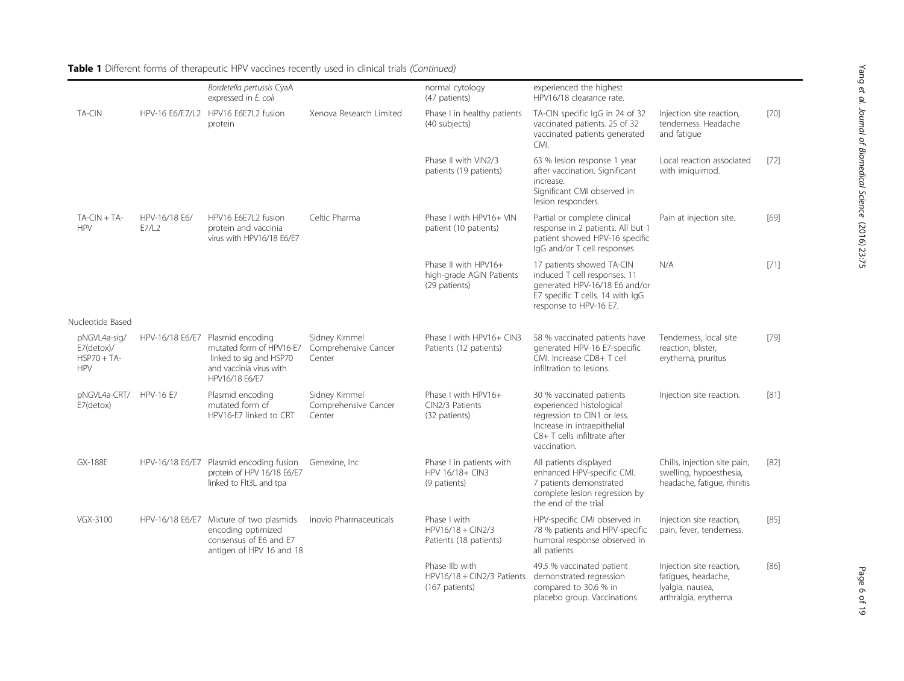|                                                           |                        | Bordetella pertussis CyaA<br>expressed in E. coli                                                                                    |                                                 | normal cytology<br>(47 patients)                                  | experienced the highest<br>HPV16/18 clearance rate.                                                                                                                 |                                                                                             |        |
|-----------------------------------------------------------|------------------------|--------------------------------------------------------------------------------------------------------------------------------------|-------------------------------------------------|-------------------------------------------------------------------|---------------------------------------------------------------------------------------------------------------------------------------------------------------------|---------------------------------------------------------------------------------------------|--------|
| TA-CIN                                                    |                        | HPV-16 E6/E7/L2 HPV16 E6E7L2 fusion<br>protein                                                                                       | Xenova Research Limited                         | Phase I in healthy patients<br>(40 subjects)                      | TA-CIN specific IgG in 24 of 32<br>vaccinated patients. 25 of 32<br>vaccinated patients generated<br>CMI.                                                           | Injection site reaction,<br>tenderness. Headache<br>and fatigue                             | $[70]$ |
|                                                           |                        |                                                                                                                                      |                                                 | Phase II with VIN2/3<br>patients (19 patients)                    | 63 % lesion response 1 year<br>after vaccination. Significant<br>increase.<br>Significant CMI observed in<br>lesion responders.                                     | Local reaction associated<br>with imiguimod.                                                | $[72]$ |
| $TA-CIN + TA-$<br><b>HPV</b>                              | HPV-16/18 E6/<br>E7/L2 | HPV16 E6E7L2 fusion<br>protein and vaccinia<br>virus with HPV16/18 E6/E7                                                             | Celtic Pharma                                   | Phase I with HPV16+ VIN<br>patient (10 patients)                  | Partial or complete clinical<br>response in 2 patients. All but 1<br>patient showed HPV-16 specific<br>IgG and/or T cell responses.                                 | Pain at injection site.                                                                     | $[69]$ |
|                                                           |                        |                                                                                                                                      |                                                 | Phase II with HPV16+<br>high-grade AGIN Patients<br>(29 patients) | 17 patients showed TA-CIN<br>induced T cell responses. 11<br>generated HPV-16/18 E6 and/or<br>E7 specific T cells. 14 with IgG<br>response to HPV-16 E7.            | N/A                                                                                         | $[71]$ |
| Nucleotide Based                                          |                        |                                                                                                                                      |                                                 |                                                                   |                                                                                                                                                                     |                                                                                             |        |
| pNGVL4a-sig/<br>E7(detox)/<br>$HSP70 + TA-$<br><b>HPV</b> |                        | HPV-16/18 E6/E7 Plasmid encoding<br>mutated form of HPV16-E7<br>linked to sig and HSP70<br>and vaccinia virus with<br>HPV16/18 E6/E7 | Sidney Kimmel<br>Comprehensive Cancer<br>Center | Phase I with HPV16+ CIN3<br>Patients (12 patients)                | 58 % vaccinated patients have<br>generated HPV-16 E7-specific<br>CMI. Increase CD8+ T cell<br>infiltration to lesions.                                              | Tenderness, local site<br>reaction, blister,<br>erythema, pruritus                          | $[79]$ |
| pNGVL4a-CRT/<br>E7(detox)                                 | <b>HPV-16 E7</b>       | Plasmid encoding<br>mutated form of<br>HPV16-E7 linked to CRT                                                                        | Sidney Kimmel<br>Comprehensive Cancer<br>Center | Phase I with HPV16+<br>CIN2/3 Patients<br>(32 patients)           | 30 % vaccinated patients<br>experienced histological<br>regression to CIN1 or less.<br>Increase in intraepithelial<br>$C8+T$ cells infiltrate after<br>vaccination. | Injection site reaction.                                                                    | $[81]$ |
| GX-188E                                                   | HPV-16/18 E6/E7        | Plasmid encoding fusion<br>protein of HPV 16/18 E6/E7<br>linked to Flt3L and tpa                                                     | Genexine, Inc.                                  | Phase I in patients with<br>HPV 16/18+ CIN3<br>(9 patients)       | All patients displayed<br>enhanced HPV-specific CMI.<br>7 patients demonstrated<br>complete lesion regression by<br>the end of the trial.                           | Chills, injection site pain,<br>swelling, hypoesthesia,<br>headache, fatigue, rhinitis      | $[82]$ |
| VGX-3100                                                  | HPV-16/18 E6/E7        | Mixture of two plasmids<br>encoding optimized<br>consensus of E6 and E7<br>antigen of HPV 16 and 18                                  | Inovio Pharmaceuticals                          | Phase I with<br>HPV16/18 + CIN2/3<br>Patients (18 patients)       | HPV-specific CMI observed in<br>78 % patients and HPV-specific<br>humoral response observed in<br>all patients.                                                     | Injection site reaction,<br>pain, fever, tenderness.                                        | $[85]$ |
|                                                           |                        |                                                                                                                                      |                                                 | Phase IIb with<br>$HPV16/18 + CIN2/3$ Patients<br>(167 patients)  | 49.5 % vaccinated patient<br>demonstrated regression<br>compared to 30.6 % in<br>placebo group. Vaccinations                                                        | Injection site reaction,<br>fatiques, headache,<br>Iyalgia, nausea,<br>arthralgia, erythema | $[86]$ |

Table 1 Different forms of therapeutic HPV vaccines recently used in clinical trials (Continued)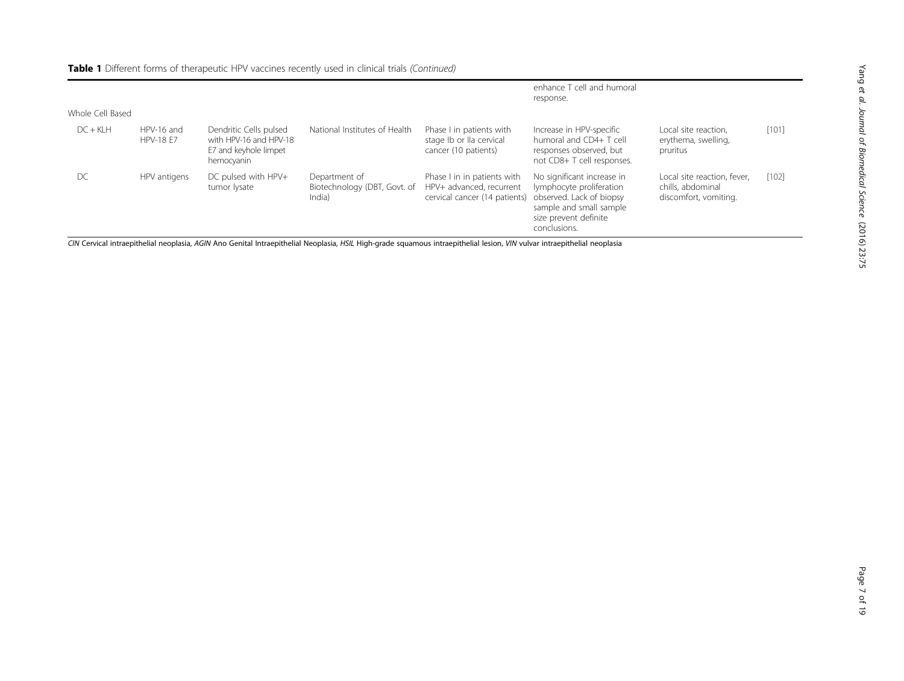|                  |                                |                                                                                         |                                                         |                                                                                          | enhance T cell and humoral<br>response.                                                                                                                |                                                                           |       |
|------------------|--------------------------------|-----------------------------------------------------------------------------------------|---------------------------------------------------------|------------------------------------------------------------------------------------------|--------------------------------------------------------------------------------------------------------------------------------------------------------|---------------------------------------------------------------------------|-------|
| Whole Cell Based |                                |                                                                                         |                                                         |                                                                                          |                                                                                                                                                        |                                                                           |       |
| $DC + KLH$       | HPV-16 and<br><b>HPV-18 E7</b> | Dendritic Cells pulsed<br>with HPV-16 and HPV-18<br>E7 and keyhole limpet<br>hemocyanin | National Institutes of Health                           | Phase I in patients with<br>stage Ib or Ila cervical<br>cancer (10 patients)             | Increase in HPV-specific<br>humoral and CD4+ T cell<br>responses observed, but<br>not CD8+ T cell responses.                                           | Local site reaction,<br>erythema, swelling,<br>pruritus                   | [101] |
| DC               | HPV antigens                   | DC pulsed with HPV+<br>tumor lysate                                                     | Department of<br>Biotechnology (DBT, Govt. of<br>India) | Phase I in in patients with<br>HPV+ advanced, recurrent<br>cervical cancer (14 patients) | No significant increase in<br>lymphocyte proliferation<br>observed. Lack of biopsy<br>sample and small sample<br>size prevent definite<br>conclusions. | Local site reaction, fever,<br>chills, abdominal<br>discomfort, vomiting. | [102] |

CIN Cervical intraepithelial neoplasia, AGIN Ano Genital Intraepithelial Neoplasia, HSIL High-grade squamous intraepithelial lesion, VIN vulvar intraepithelial neoplasia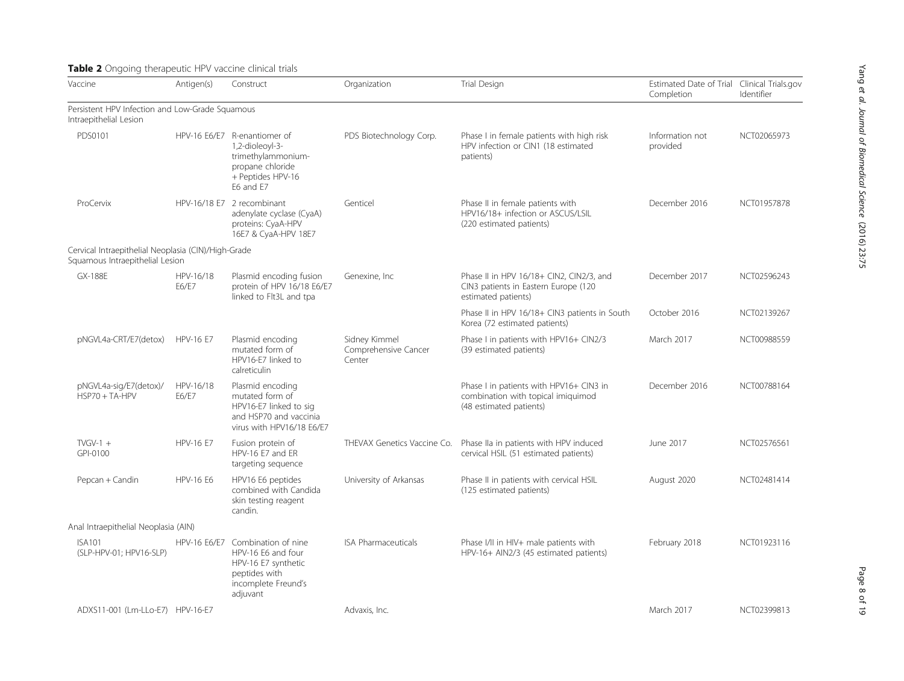| Vaccine                                                                                | Antigen(s)          | Construct                                                                                                                   | Organization                                    | Trial Design                                                                                             | Estimated Date of Trial<br>Completion | Clinical Trials.gov<br>Identifier |
|----------------------------------------------------------------------------------------|---------------------|-----------------------------------------------------------------------------------------------------------------------------|-------------------------------------------------|----------------------------------------------------------------------------------------------------------|---------------------------------------|-----------------------------------|
| Persistent HPV Infection and Low-Grade Squamous<br>Intraepithelial Lesion              |                     |                                                                                                                             |                                                 |                                                                                                          |                                       |                                   |
| PDS0101                                                                                |                     | HPV-16 E6/E7 R-enantiomer of<br>1,2-dioleoyl-3-<br>trimethylammonium-<br>propane chloride<br>+ Peptides HPV-16<br>E6 and E7 | PDS Biotechnology Corp.                         | Phase I in female patients with high risk<br>HPV infection or CIN1 (18 estimated<br>patients)            | Information not<br>provided           | NCT02065973                       |
| ProCervix                                                                              |                     | HPV-16/18 E7 2 recombinant<br>adenylate cyclase (CyaA)<br>proteins: CyaA-HPV<br>16E7 & CyaA-HPV 18E7                        | Genticel                                        | Phase II in female patients with<br>HPV16/18+ infection or ASCUS/LSIL<br>(220 estimated patients)        | December 2016                         | NCT01957878                       |
| Cervical Intraepithelial Neoplasia (CIN)/High-Grade<br>Squamous Intraepithelial Lesion |                     |                                                                                                                             |                                                 |                                                                                                          |                                       |                                   |
| <b>GX-188E</b>                                                                         | HPV-16/18<br>E6/E7  | Plasmid encoding fusion<br>protein of HPV 16/18 E6/E7<br>linked to Flt3L and tpa                                            | Genexine, Inc                                   | Phase II in HPV 16/18+ CIN2, CIN2/3, and<br>CIN3 patients in Eastern Europe (120<br>estimated patients)  | December 2017                         | NCT02596243                       |
|                                                                                        |                     |                                                                                                                             |                                                 | Phase II in HPV 16/18+ CIN3 patients in South<br>Korea (72 estimated patients)                           | October 2016                          | NCT02139267                       |
| pNGVL4a-CRT/E7(detox)                                                                  | <b>HPV-16 E7</b>    | Plasmid encoding<br>mutated form of<br>HPV16-E7 linked to<br>calreticulin                                                   | Sidney Kimmel<br>Comprehensive Cancer<br>Center | Phase I in patients with HPV16+ CIN2/3<br>(39 estimated patients)                                        | March 2017                            | NCT00988559                       |
| pNGVL4a-sig/E7(detox)/<br>HSP70 + TA-HPV                                               | HPV-16/18<br>E6/E7  | Plasmid encoding<br>mutated form of<br>HPV16-E7 linked to sig<br>and HSP70 and vaccinia<br>virus with HPV16/18 E6/E7        |                                                 | Phase I in patients with HPV16+ CIN3 in<br>combination with topical imiquimod<br>(48 estimated patients) | December 2016                         | NCT00788164                       |
| $TVGV-1 +$<br>GPI-0100                                                                 | <b>HPV-16 E7</b>    | Fusion protein of<br>HPV-16 E7 and ER<br>targeting sequence                                                                 | THEVAX Genetics Vaccine Co.                     | Phase IIa in patients with HPV induced<br>cervical HSIL (51 estimated patients)                          | June 2017                             | NCT02576561                       |
| Pepcan + Candin                                                                        | <b>HPV-16 E6</b>    | HPV16 E6 peptides<br>combined with Candida<br>skin testing reagent<br>candin.                                               | University of Arkansas                          | Phase II in patients with cervical HSIL<br>(125 estimated patients)                                      | August 2020                           | NCT02481414                       |
| Anal Intraepithelial Neoplasia (AIN)                                                   |                     |                                                                                                                             |                                                 |                                                                                                          |                                       |                                   |
| <b>ISA101</b><br>(SLP-HPV-01; HPV16-SLP)                                               | <b>HPV-16 E6/E7</b> | Combination of nine<br>HPV-16 E6 and four<br>HPV-16 E7 synthetic<br>peptides with<br>incomplete Freund's<br>adjuvant        | <b>ISA Pharmaceuticals</b>                      | Phase I/II in HIV+ male patients with<br>HPV-16+ AIN2/3 (45 estimated patients)                          | February 2018                         | NCT01923116                       |
| ADXS11-001 (Lm-LLo-E7) HPV-16-E7                                                       |                     |                                                                                                                             | Advaxis, Inc.                                   |                                                                                                          | March 2017                            | NCT02399813                       |

<span id="page-7-0"></span>Table 2 Ongoing therapeutic HPV vaccine clinical trials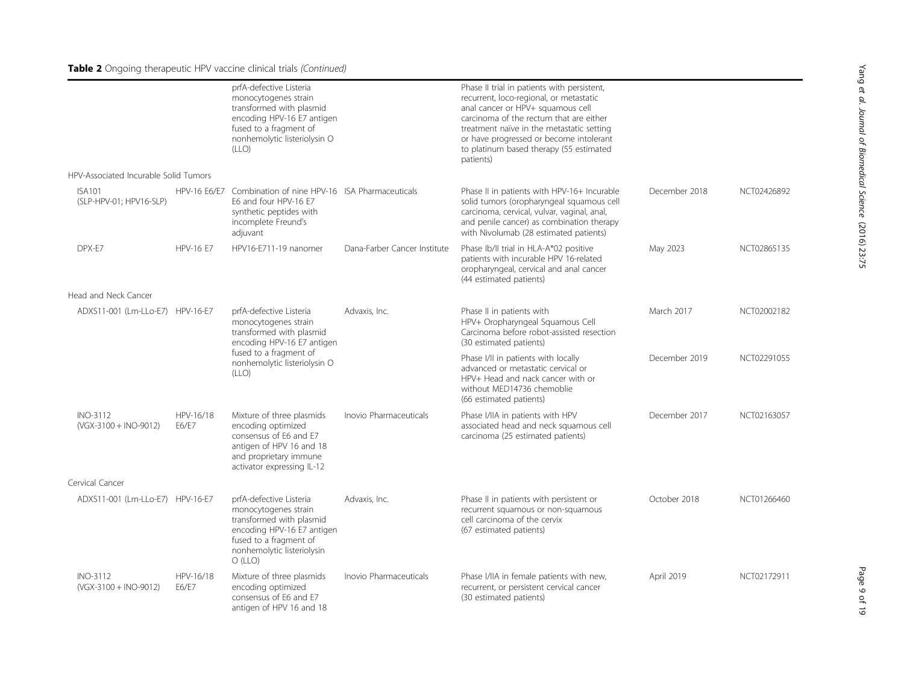# Table 2 Ongoing therapeutic HPV vaccine clinical trials (Continued)

|                                          |                    | prfA-defective Listeria<br>monocytogenes strain<br>transformed with plasmid<br>encoding HPV-16 E7 antigen<br>fused to a fragment of<br>nonhemolytic listeriolysin O<br>(LLO)   |                              | Phase II trial in patients with persistent,<br>recurrent, loco-regional, or metastatic<br>anal cancer or HPV+ squamous cell<br>carcinoma of the rectum that are either<br>treatment naïve in the metastatic setting<br>or have progressed or become intolerant<br>to platinum based therapy (55 estimated<br>patients) |               |             |
|------------------------------------------|--------------------|--------------------------------------------------------------------------------------------------------------------------------------------------------------------------------|------------------------------|------------------------------------------------------------------------------------------------------------------------------------------------------------------------------------------------------------------------------------------------------------------------------------------------------------------------|---------------|-------------|
| HPV-Associated Incurable Solid Tumors    |                    |                                                                                                                                                                                |                              |                                                                                                                                                                                                                                                                                                                        |               |             |
| <b>ISA101</b><br>(SLP-HPV-01; HPV16-SLP) | HPV-16 E6/E7       | Combination of nine HPV-16 ISA Pharmaceuticals<br>E6 and four HPV-16 E7<br>synthetic peptides with<br>incomplete Freund's<br>adjuvant                                          |                              | Phase II in patients with HPV-16+ Incurable<br>solid tumors (oropharyngeal squamous cell<br>carcinoma, cervical, vulvar, vaginal, anal,<br>and penile cancer) as combination therapy<br>with Nivolumab (28 estimated patients)                                                                                         | December 2018 | NCT02426892 |
| DPX-E7                                   | <b>HPV-16 E7</b>   | HPV16-E711-19 nanomer                                                                                                                                                          | Dana-Farber Cancer Institute | Phase Ib/II trial in HLA-A*02 positive<br>patients with incurable HPV 16-related<br>oropharyngeal, cervical and anal cancer<br>(44 estimated patients)                                                                                                                                                                 | May 2023      | NCT02865135 |
| Head and Neck Cancer                     |                    |                                                                                                                                                                                |                              |                                                                                                                                                                                                                                                                                                                        |               |             |
| ADXS11-001 (Lm-LLo-E7) HPV-16-E7         |                    | prfA-defective Listeria<br>monocytogenes strain<br>transformed with plasmid<br>encoding HPV-16 E7 antigen<br>fused to a fragment of<br>nonhemolytic listeriolysin O<br>(LLO)   | Advaxis, Inc.                | Phase II in patients with<br>HPV+ Oropharyngeal Squamous Cell<br>Carcinoma before robot-assisted resection<br>(30 estimated patients)                                                                                                                                                                                  | March 2017    | NCT02002182 |
|                                          |                    |                                                                                                                                                                                |                              | Phase I/II in patients with locally<br>advanced or metastatic cervical or<br>HPV+ Head and nack cancer with or<br>without MED14736 chemoblie<br>(66 estimated patients)                                                                                                                                                | December 2019 | NCT02291055 |
| INO-3112<br>(VGX-3100 + INO-9012)        | HPV-16/18<br>E6/E7 | Mixture of three plasmids<br>encoding optimized<br>consensus of E6 and E7<br>antigen of HPV 16 and 18<br>and proprietary immune<br>activator expressing IL-12                  | Inovio Pharmaceuticals       | Phase I/IIA in patients with HPV<br>associated head and neck squamous cell<br>carcinoma (25 estimated patients)                                                                                                                                                                                                        | December 2017 | NCT02163057 |
| Cervical Cancer                          |                    |                                                                                                                                                                                |                              |                                                                                                                                                                                                                                                                                                                        |               |             |
| ADXS11-001 (Lm-LLo-E7) HPV-16-E7         |                    | prfA-defective Listeria<br>monocytogenes strain<br>transformed with plasmid<br>encoding HPV-16 E7 antigen<br>fused to a fragment of<br>nonhemolytic listeriolysin<br>$O$ (LLO) | Advaxis, Inc.                | Phase II in patients with persistent or<br>recurrent squamous or non-squamous<br>cell carcinoma of the cervix<br>(67 estimated patients)                                                                                                                                                                               | October 2018  | NCT01266460 |
| INO-3112<br>(VGX-3100 + INO-9012)        | HPV-16/18<br>E6/E7 | Mixture of three plasmids<br>encoding optimized<br>consensus of E6 and E7<br>antigen of HPV 16 and 18                                                                          | Inovio Pharmaceuticals       | Phase I/IIA in female patients with new,<br>recurrent, or persistent cervical cancer<br>(30 estimated patients)                                                                                                                                                                                                        | April 2019    | NCT02172911 |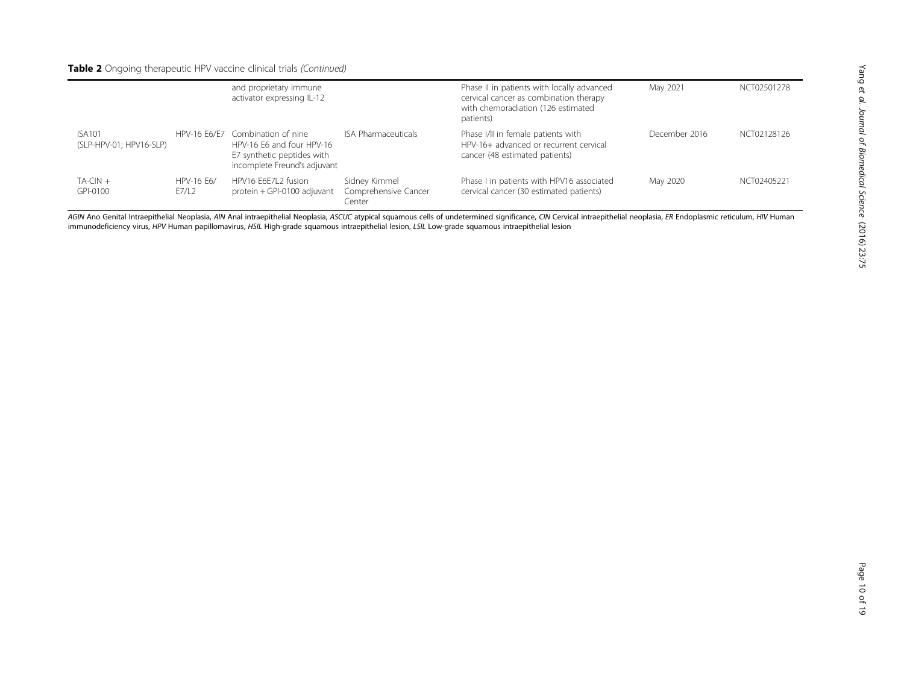# Table 2 Ongoing therapeutic HPV vaccine clinical trials (Continued)

|                                   |                     | and proprietary immune<br>activator expressing IL-12                                                           |                                                 | Phase II in patients with locally advanced<br>cervical cancer as combination therapy<br>with chemoradiation (126 estimated<br>patients) | May 2021      | NCT02501278 |
|-----------------------------------|---------------------|----------------------------------------------------------------------------------------------------------------|-------------------------------------------------|-----------------------------------------------------------------------------------------------------------------------------------------|---------------|-------------|
| ISA101<br>(SLP-HPV-01; HPV16-SLP) | HPV-16 F6/F7        | Combination of nine<br>HPV-16 E6 and four HPV-16<br>E7 synthetic peptides with<br>incomplete Freund's adjuvant | <b>ISA Pharmaceuticals</b>                      | Phase I/II in female patients with<br>HPV-16+ advanced or recurrent cervical<br>cancer (48 estimated patients)                          | December 2016 | NCT02128126 |
| $TA-CIN +$<br>GPI-0100            | HPV-16 E6/<br>E7/L2 | HPV16 E6E7L2 fusion<br>protein + GPI-0100 adjuvant                                                             | Sidney Kimmel<br>Comprehensive Cancer<br>Center | Phase I in patients with HPV16 associated<br>cervical cancer (30 estimated patients)                                                    | May 2020      | NCT02405221 |

AGIN Ano Genital Intraepithelial Neoplasia, AIN Anal intraepithelial Neoplasia, ASCUC atypical squamous cells of undetermined significance, CIN Cervical intraepithelial neoplasia, ER Endoplasmic reticulum, HIV Human immunodeficiency virus, HPV Human papillomavirus, HSIL High-grade squamous intraepithelial lesion, LSIL Low-grade squamous intraepithelial lesion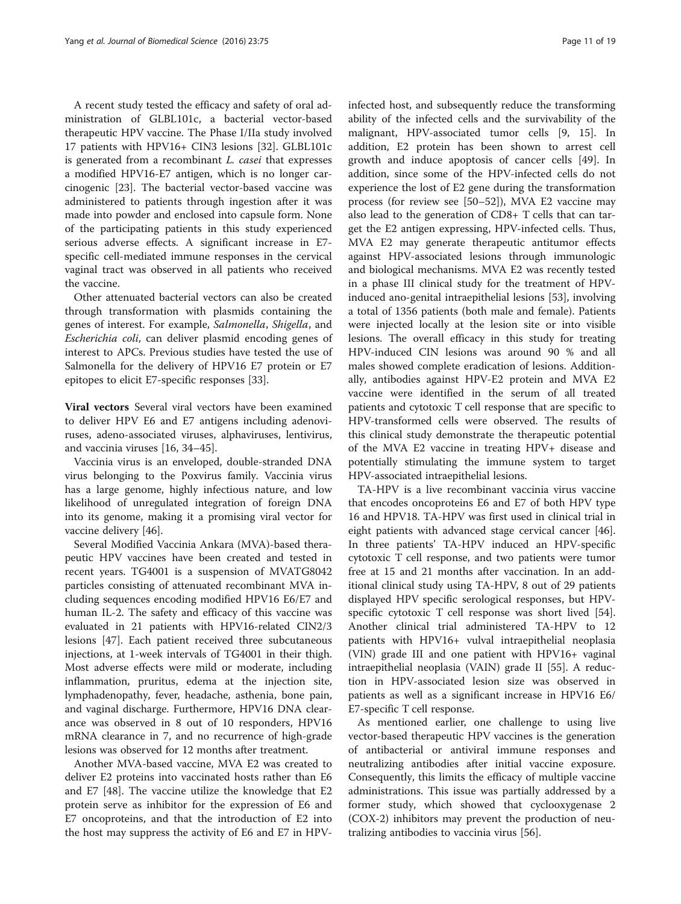A recent study tested the efficacy and safety of oral administration of GLBL101c, a bacterial vector-based therapeutic HPV vaccine. The Phase I/IIa study involved 17 patients with HPV16+ CIN3 lesions [\[32](#page-16-0)]. GLBL101c is generated from a recombinant L. casei that expresses a modified HPV16-E7 antigen, which is no longer carcinogenic [[23](#page-16-0)]. The bacterial vector-based vaccine was administered to patients through ingestion after it was made into powder and enclosed into capsule form. None of the participating patients in this study experienced serious adverse effects. A significant increase in E7 specific cell-mediated immune responses in the cervical vaginal tract was observed in all patients who received the vaccine.

Other attenuated bacterial vectors can also be created through transformation with plasmids containing the genes of interest. For example, Salmonella, Shigella, and Escherichia coli, can deliver plasmid encoding genes of interest to APCs. Previous studies have tested the use of Salmonella for the delivery of HPV16 E7 protein or E7 epitopes to elicit E7-specific responses [\[33\]](#page-16-0).

Viral vectors Several viral vectors have been examined to deliver HPV E6 and E7 antigens including adenoviruses, adeno-associated viruses, alphaviruses, lentivirus, and vaccinia viruses [\[16](#page-16-0), [34](#page-16-0)–[45\]](#page-17-0).

Vaccinia virus is an enveloped, double-stranded DNA virus belonging to the Poxvirus family. Vaccinia virus has a large genome, highly infectious nature, and low likelihood of unregulated integration of foreign DNA into its genome, making it a promising viral vector for vaccine delivery [[46](#page-17-0)].

Several Modified Vaccinia Ankara (MVA)-based therapeutic HPV vaccines have been created and tested in recent years. TG4001 is a suspension of MVATG8042 particles consisting of attenuated recombinant MVA including sequences encoding modified HPV16 E6/E7 and human IL-2. The safety and efficacy of this vaccine was evaluated in 21 patients with HPV16-related CIN2/3 lesions [\[47](#page-17-0)]. Each patient received three subcutaneous injections, at 1-week intervals of TG4001 in their thigh. Most adverse effects were mild or moderate, including inflammation, pruritus, edema at the injection site, lymphadenopathy, fever, headache, asthenia, bone pain, and vaginal discharge. Furthermore, HPV16 DNA clearance was observed in 8 out of 10 responders, HPV16 mRNA clearance in 7, and no recurrence of high-grade lesions was observed for 12 months after treatment.

Another MVA-based vaccine, MVA E2 was created to deliver E2 proteins into vaccinated hosts rather than E6 and E7 [\[48](#page-17-0)]. The vaccine utilize the knowledge that E2 protein serve as inhibitor for the expression of E6 and E7 oncoproteins, and that the introduction of E2 into the host may suppress the activity of E6 and E7 in HPV- infected host, and subsequently reduce the transforming ability of the infected cells and the survivability of the malignant, HPV-associated tumor cells [\[9](#page-16-0), [15](#page-16-0)]. In addition, E2 protein has been shown to arrest cell growth and induce apoptosis of cancer cells [\[49\]](#page-17-0). In addition, since some of the HPV-infected cells do not experience the lost of E2 gene during the transformation process (for review see [[50](#page-17-0)–[52](#page-17-0)]), MVA E2 vaccine may also lead to the generation of CD8+ T cells that can target the E2 antigen expressing, HPV-infected cells. Thus, MVA E2 may generate therapeutic antitumor effects against HPV-associated lesions through immunologic and biological mechanisms. MVA E2 was recently tested in a phase III clinical study for the treatment of HPVinduced ano-genital intraepithelial lesions [[53\]](#page-17-0), involving a total of 1356 patients (both male and female). Patients were injected locally at the lesion site or into visible lesions. The overall efficacy in this study for treating HPV-induced CIN lesions was around 90 % and all males showed complete eradication of lesions. Additionally, antibodies against HPV-E2 protein and MVA E2 vaccine were identified in the serum of all treated patients and cytotoxic T cell response that are specific to HPV-transformed cells were observed. The results of this clinical study demonstrate the therapeutic potential of the MVA E2 vaccine in treating HPV+ disease and potentially stimulating the immune system to target HPV-associated intraepithelial lesions.

TA-HPV is a live recombinant vaccinia virus vaccine that encodes oncoproteins E6 and E7 of both HPV type 16 and HPV18. TA-HPV was first used in clinical trial in eight patients with advanced stage cervical cancer [\[46](#page-17-0)]. In three patients' TA-HPV induced an HPV-specific cytotoxic T cell response, and two patients were tumor free at 15 and 21 months after vaccination. In an additional clinical study using TA-HPV, 8 out of 29 patients displayed HPV specific serological responses, but HPVspecific cytotoxic T cell response was short lived [\[54](#page-17-0)]. Another clinical trial administered TA-HPV to 12 patients with HPV16+ vulval intraepithelial neoplasia (VIN) grade III and one patient with HPV16+ vaginal intraepithelial neoplasia (VAIN) grade II [[55\]](#page-17-0). A reduction in HPV-associated lesion size was observed in patients as well as a significant increase in HPV16 E6/ E7-specific T cell response.

As mentioned earlier, one challenge to using live vector-based therapeutic HPV vaccines is the generation of antibacterial or antiviral immune responses and neutralizing antibodies after initial vaccine exposure. Consequently, this limits the efficacy of multiple vaccine administrations. This issue was partially addressed by a former study, which showed that cyclooxygenase 2 (COX-2) inhibitors may prevent the production of neutralizing antibodies to vaccinia virus [\[56](#page-17-0)].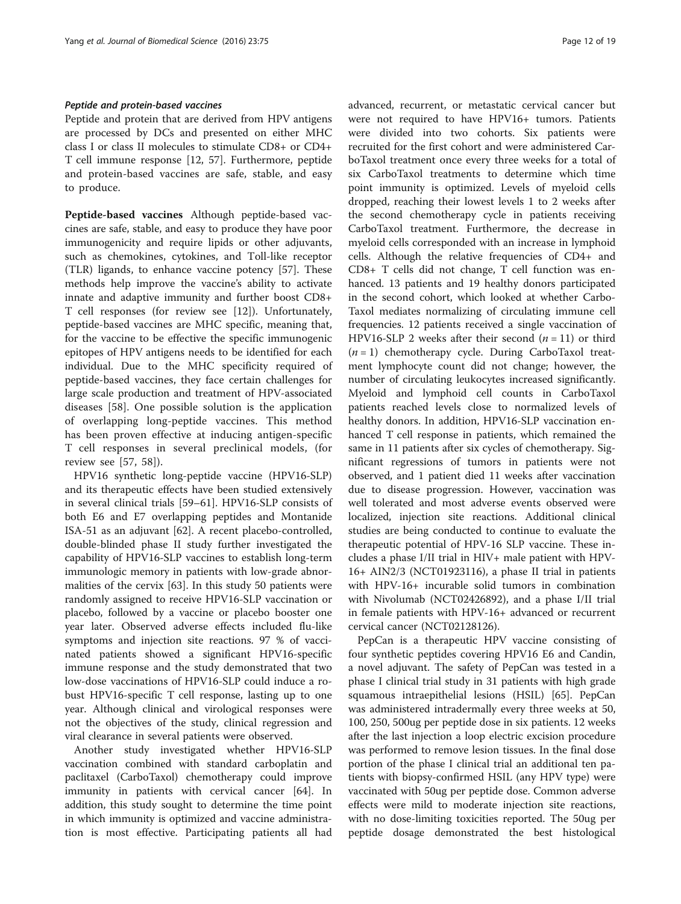## Peptide and protein-based vaccines

Peptide and protein that are derived from HPV antigens are processed by DCs and presented on either MHC class I or class II molecules to stimulate CD8+ or CD4+ T cell immune response [\[12](#page-16-0), [57](#page-17-0)]. Furthermore, peptide and protein-based vaccines are safe, stable, and easy to produce.

Peptide-based vaccines Although peptide-based vaccines are safe, stable, and easy to produce they have poor immunogenicity and require lipids or other adjuvants, such as chemokines, cytokines, and Toll-like receptor (TLR) ligands, to enhance vaccine potency [[57](#page-17-0)]. These methods help improve the vaccine's ability to activate innate and adaptive immunity and further boost CD8+ T cell responses (for review see [\[12](#page-16-0)]). Unfortunately, peptide-based vaccines are MHC specific, meaning that, for the vaccine to be effective the specific immunogenic epitopes of HPV antigens needs to be identified for each individual. Due to the MHC specificity required of peptide-based vaccines, they face certain challenges for large scale production and treatment of HPV-associated diseases [[58\]](#page-17-0). One possible solution is the application of overlapping long-peptide vaccines. This method has been proven effective at inducing antigen-specific T cell responses in several preclinical models, (for review see [[57, 58\]](#page-17-0)).

HPV16 synthetic long-peptide vaccine (HPV16-SLP) and its therapeutic effects have been studied extensively in several clinical trials [[59](#page-17-0)–[61](#page-17-0)]. HPV16-SLP consists of both E6 and E7 overlapping peptides and Montanide ISA-51 as an adjuvant [[62](#page-17-0)]. A recent placebo-controlled, double-blinded phase II study further investigated the capability of HPV16-SLP vaccines to establish long-term immunologic memory in patients with low-grade abnormalities of the cervix [[63\]](#page-17-0). In this study 50 patients were randomly assigned to receive HPV16-SLP vaccination or placebo, followed by a vaccine or placebo booster one year later. Observed adverse effects included flu-like symptoms and injection site reactions. 97 % of vaccinated patients showed a significant HPV16-specific immune response and the study demonstrated that two low-dose vaccinations of HPV16-SLP could induce a robust HPV16-specific T cell response, lasting up to one year. Although clinical and virological responses were not the objectives of the study, clinical regression and viral clearance in several patients were observed.

Another study investigated whether HPV16-SLP vaccination combined with standard carboplatin and paclitaxel (CarboTaxol) chemotherapy could improve immunity in patients with cervical cancer [\[64](#page-17-0)]. In addition, this study sought to determine the time point in which immunity is optimized and vaccine administration is most effective. Participating patients all had advanced, recurrent, or metastatic cervical cancer but were not required to have HPV16+ tumors. Patients were divided into two cohorts. Six patients were recruited for the first cohort and were administered CarboTaxol treatment once every three weeks for a total of six CarboTaxol treatments to determine which time point immunity is optimized. Levels of myeloid cells dropped, reaching their lowest levels 1 to 2 weeks after the second chemotherapy cycle in patients receiving CarboTaxol treatment. Furthermore, the decrease in myeloid cells corresponded with an increase in lymphoid cells. Although the relative frequencies of CD4+ and CD8+ T cells did not change, T cell function was enhanced. 13 patients and 19 healthy donors participated in the second cohort, which looked at whether Carbo-Taxol mediates normalizing of circulating immune cell frequencies. 12 patients received a single vaccination of HPV16-SLP 2 weeks after their second  $(n = 11)$  or third  $(n = 1)$  chemotherapy cycle. During CarboTaxol treatment lymphocyte count did not change; however, the number of circulating leukocytes increased significantly. Myeloid and lymphoid cell counts in CarboTaxol patients reached levels close to normalized levels of healthy donors. In addition, HPV16-SLP vaccination enhanced T cell response in patients, which remained the same in 11 patients after six cycles of chemotherapy. Significant regressions of tumors in patients were not observed, and 1 patient died 11 weeks after vaccination due to disease progression. However, vaccination was well tolerated and most adverse events observed were localized, injection site reactions. Additional clinical studies are being conducted to continue to evaluate the therapeutic potential of HPV-16 SLP vaccine. These includes a phase I/II trial in HIV+ male patient with HPV-16+ AIN2/3 (NCT01923116), a phase II trial in patients with HPV-16+ incurable solid tumors in combination with Nivolumab (NCT02426892), and a phase I/II trial in female patients with HPV-16+ advanced or recurrent cervical cancer (NCT02128126).

PepCan is a therapeutic HPV vaccine consisting of four synthetic peptides covering HPV16 E6 and Candin, a novel adjuvant. The safety of PepCan was tested in a phase I clinical trial study in 31 patients with high grade squamous intraepithelial lesions (HSIL) [[65](#page-17-0)]. PepCan was administered intradermally every three weeks at 50, 100, 250, 500ug per peptide dose in six patients. 12 weeks after the last injection a loop electric excision procedure was performed to remove lesion tissues. In the final dose portion of the phase I clinical trial an additional ten patients with biopsy-confirmed HSIL (any HPV type) were vaccinated with 50ug per peptide dose. Common adverse effects were mild to moderate injection site reactions, with no dose-limiting toxicities reported. The 50ug per peptide dosage demonstrated the best histological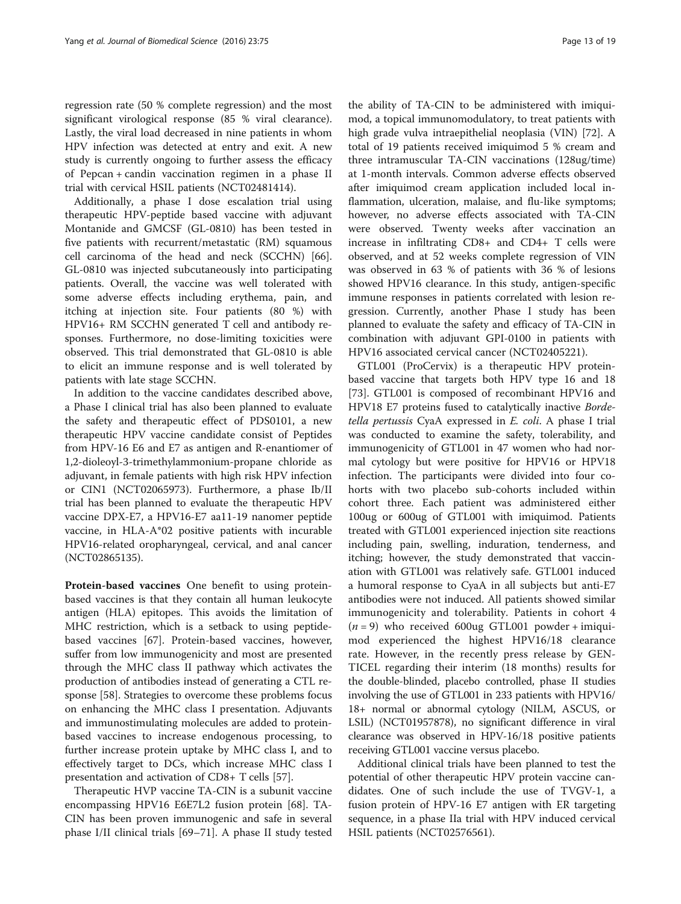regression rate (50 % complete regression) and the most significant virological response (85 % viral clearance). Lastly, the viral load decreased in nine patients in whom HPV infection was detected at entry and exit. A new study is currently ongoing to further assess the efficacy of Pepcan + candin vaccination regimen in a phase II trial with cervical HSIL patients (NCT02481414).

Additionally, a phase I dose escalation trial using therapeutic HPV-peptide based vaccine with adjuvant Montanide and GMCSF (GL-0810) has been tested in five patients with recurrent/metastatic (RM) squamous cell carcinoma of the head and neck (SCCHN) [\[66](#page-17-0)]. GL-0810 was injected subcutaneously into participating patients. Overall, the vaccine was well tolerated with some adverse effects including erythema, pain, and itching at injection site. Four patients (80 %) with HPV16+ RM SCCHN generated T cell and antibody responses. Furthermore, no dose-limiting toxicities were observed. This trial demonstrated that GL-0810 is able to elicit an immune response and is well tolerated by patients with late stage SCCHN.

In addition to the vaccine candidates described above, a Phase I clinical trial has also been planned to evaluate the safety and therapeutic effect of PDS0101, a new therapeutic HPV vaccine candidate consist of Peptides from HPV-16 E6 and E7 as antigen and R-enantiomer of 1,2-dioleoyl-3-trimethylammonium-propane chloride as adjuvant, in female patients with high risk HPV infection or CIN1 (NCT02065973). Furthermore, a phase Ib/II trial has been planned to evaluate the therapeutic HPV vaccine DPX-E7, a HPV16-E7 aa11-19 nanomer peptide vaccine, in HLA-A\*02 positive patients with incurable HPV16-related oropharyngeal, cervical, and anal cancer (NCT02865135).

Protein-based vaccines One benefit to using proteinbased vaccines is that they contain all human leukocyte antigen (HLA) epitopes. This avoids the limitation of MHC restriction, which is a setback to using peptidebased vaccines [[67\]](#page-17-0). Protein-based vaccines, however, suffer from low immunogenicity and most are presented through the MHC class II pathway which activates the production of antibodies instead of generating a CTL response [\[58](#page-17-0)]. Strategies to overcome these problems focus on enhancing the MHC class I presentation. Adjuvants and immunostimulating molecules are added to proteinbased vaccines to increase endogenous processing, to further increase protein uptake by MHC class I, and to effectively target to DCs, which increase MHC class I presentation and activation of CD8+ T cells [[57](#page-17-0)].

Therapeutic HVP vaccine TA-CIN is a subunit vaccine encompassing HPV16 E6E7L2 fusion protein [[68](#page-17-0)]. TA-CIN has been proven immunogenic and safe in several phase I/II clinical trials [\[69](#page-17-0)–[71\]](#page-17-0). A phase II study tested

the ability of TA-CIN to be administered with imiquimod, a topical immunomodulatory, to treat patients with high grade vulva intraepithelial neoplasia (VIN) [\[72](#page-17-0)]. A total of 19 patients received imiquimod 5 % cream and three intramuscular TA-CIN vaccinations (128ug/time) at 1-month intervals. Common adverse effects observed after imiquimod cream application included local inflammation, ulceration, malaise, and flu-like symptoms; however, no adverse effects associated with TA-CIN were observed. Twenty weeks after vaccination an increase in infiltrating CD8+ and CD4+ T cells were observed, and at 52 weeks complete regression of VIN was observed in 63 % of patients with 36 % of lesions showed HPV16 clearance. In this study, antigen-specific immune responses in patients correlated with lesion regression. Currently, another Phase I study has been planned to evaluate the safety and efficacy of TA-CIN in combination with adjuvant GPI-0100 in patients with HPV16 associated cervical cancer (NCT02405221).

GTL001 (ProCervix) is a therapeutic HPV proteinbased vaccine that targets both HPV type 16 and 18 [[73\]](#page-17-0). GTL001 is composed of recombinant HPV16 and HPV18 E7 proteins fused to catalytically inactive Bordetella pertussis CyaA expressed in E. coli. A phase I trial was conducted to examine the safety, tolerability, and immunogenicity of GTL001 in 47 women who had normal cytology but were positive for HPV16 or HPV18 infection. The participants were divided into four cohorts with two placebo sub-cohorts included within cohort three. Each patient was administered either 100ug or 600ug of GTL001 with imiquimod. Patients treated with GTL001 experienced injection site reactions including pain, swelling, induration, tenderness, and itching; however, the study demonstrated that vaccination with GTL001 was relatively safe. GTL001 induced a humoral response to CyaA in all subjects but anti-E7 antibodies were not induced. All patients showed similar immunogenicity and tolerability. Patients in cohort 4  $(n = 9)$  who received 600ug GTL001 powder + imiquimod experienced the highest HPV16/18 clearance rate. However, in the recently press release by GEN-TICEL regarding their interim (18 months) results for the double-blinded, placebo controlled, phase II studies involving the use of GTL001 in 233 patients with HPV16/ 18+ normal or abnormal cytology (NILM, ASCUS, or LSIL) (NCT01957878), no significant difference in viral clearance was observed in HPV-16/18 positive patients receiving GTL001 vaccine versus placebo.

Additional clinical trials have been planned to test the potential of other therapeutic HPV protein vaccine candidates. One of such include the use of TVGV-1, a fusion protein of HPV-16 E7 antigen with ER targeting sequence, in a phase IIa trial with HPV induced cervical HSIL patients (NCT02576561).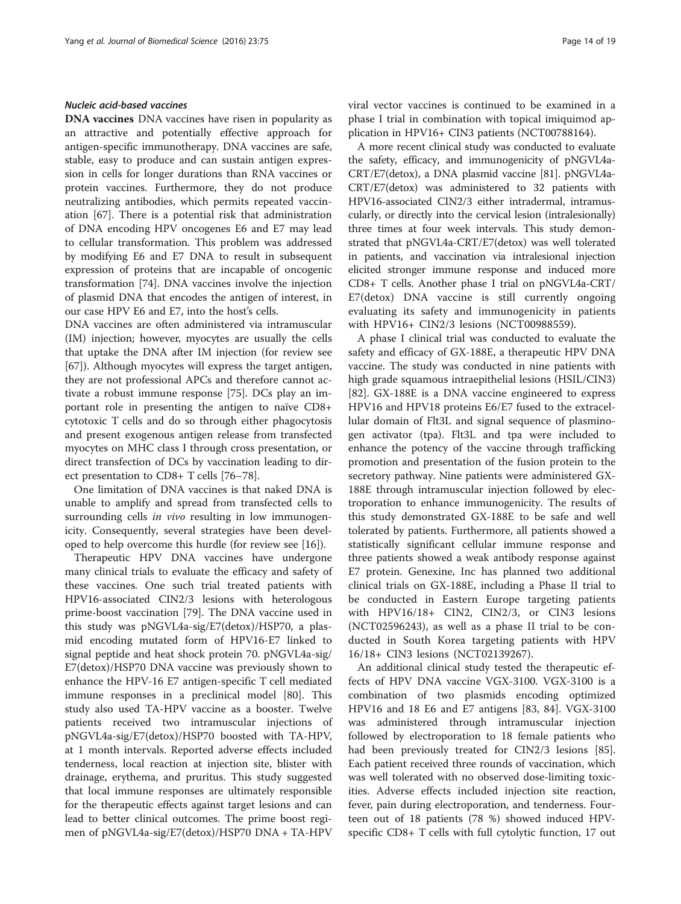# Nucleic acid-based vaccines

DNA vaccines DNA vaccines have risen in popularity as an attractive and potentially effective approach for antigen-specific immunotherapy. DNA vaccines are safe, stable, easy to produce and can sustain antigen expression in cells for longer durations than RNA vaccines or protein vaccines. Furthermore, they do not produce neutralizing antibodies, which permits repeated vaccination [[67\]](#page-17-0). There is a potential risk that administration of DNA encoding HPV oncogenes E6 and E7 may lead to cellular transformation. This problem was addressed by modifying E6 and E7 DNA to result in subsequent expression of proteins that are incapable of oncogenic transformation [\[74](#page-17-0)]. DNA vaccines involve the injection of plasmid DNA that encodes the antigen of interest, in our case HPV E6 and E7, into the host's cells.

DNA vaccines are often administered via intramuscular (IM) injection; however, myocytes are usually the cells that uptake the DNA after IM injection (for review see [[67\]](#page-17-0)). Although myocytes will express the target antigen, they are not professional APCs and therefore cannot activate a robust immune response [[75](#page-17-0)]. DCs play an important role in presenting the antigen to naïve CD8+ cytotoxic T cells and do so through either phagocytosis and present exogenous antigen release from transfected myocytes on MHC class I through cross presentation, or direct transfection of DCs by vaccination leading to direct presentation to CD8+ T cells [\[76](#page-17-0)–[78\]](#page-17-0).

One limitation of DNA vaccines is that naked DNA is unable to amplify and spread from transfected cells to surrounding cells in vivo resulting in low immunogenicity. Consequently, several strategies have been developed to help overcome this hurdle (for review see [\[16\]](#page-16-0)).

Therapeutic HPV DNA vaccines have undergone many clinical trials to evaluate the efficacy and safety of these vaccines. One such trial treated patients with HPV16-associated CIN2/3 lesions with heterologous prime-boost vaccination [\[79](#page-17-0)]. The DNA vaccine used in this study was pNGVL4a-sig/E7(detox)/HSP70, a plasmid encoding mutated form of HPV16-E7 linked to signal peptide and heat shock protein 70. pNGVL4a-sig/ E7(detox)/HSP70 DNA vaccine was previously shown to enhance the HPV-16 E7 antigen-specific T cell mediated immune responses in a preclinical model [\[80\]](#page-18-0). This study also used TA-HPV vaccine as a booster. Twelve patients received two intramuscular injections of pNGVL4a-sig/E7(detox)/HSP70 boosted with TA-HPV, at 1 month intervals. Reported adverse effects included tenderness, local reaction at injection site, blister with drainage, erythema, and pruritus. This study suggested that local immune responses are ultimately responsible for the therapeutic effects against target lesions and can lead to better clinical outcomes. The prime boost regimen of pNGVL4a-sig/E7(detox)/HSP70 DNA + TA-HPV viral vector vaccines is continued to be examined in a phase I trial in combination with topical imiquimod application in HPV16+ CIN3 patients (NCT00788164).

A more recent clinical study was conducted to evaluate the safety, efficacy, and immunogenicity of pNGVL4a-CRT/E7(detox), a DNA plasmid vaccine [[81](#page-18-0)]. pNGVL4a-CRT/E7(detox) was administered to 32 patients with HPV16-associated CIN2/3 either intradermal, intramuscularly, or directly into the cervical lesion (intralesionally) three times at four week intervals. This study demonstrated that pNGVL4a-CRT/E7(detox) was well tolerated in patients, and vaccination via intralesional injection elicited stronger immune response and induced more CD8+ T cells. Another phase I trial on pNGVL4a-CRT/ E7(detox) DNA vaccine is still currently ongoing evaluating its safety and immunogenicity in patients with HPV16+ CIN2/3 lesions (NCT00988559).

A phase I clinical trial was conducted to evaluate the safety and efficacy of GX-188E, a therapeutic HPV DNA vaccine. The study was conducted in nine patients with high grade squamous intraepithelial lesions (HSIL/CIN3) [[82\]](#page-18-0). GX-188E is a DNA vaccine engineered to express HPV16 and HPV18 proteins E6/E7 fused to the extracellular domain of Flt3L and signal sequence of plasminogen activator (tpa). Flt3L and tpa were included to enhance the potency of the vaccine through trafficking promotion and presentation of the fusion protein to the secretory pathway. Nine patients were administered GX-188E through intramuscular injection followed by electroporation to enhance immunogenicity. The results of this study demonstrated GX-188E to be safe and well tolerated by patients. Furthermore, all patients showed a statistically significant cellular immune response and three patients showed a weak antibody response against E7 protein. Genexine, Inc has planned two additional clinical trials on GX-188E, including a Phase II trial to be conducted in Eastern Europe targeting patients with HPV16/18+ CIN2, CIN2/3, or CIN3 lesions (NCT02596243), as well as a phase II trial to be conducted in South Korea targeting patients with HPV 16/18+ CIN3 lesions (NCT02139267).

An additional clinical study tested the therapeutic effects of HPV DNA vaccine VGX-3100. VGX-3100 is a combination of two plasmids encoding optimized HPV16 and 18 E6 and E7 antigens [[83, 84\]](#page-18-0). VGX-3100 was administered through intramuscular injection followed by electroporation to 18 female patients who had been previously treated for CIN2/3 lesions [\[85](#page-18-0)]. Each patient received three rounds of vaccination, which was well tolerated with no observed dose-limiting toxicities. Adverse effects included injection site reaction, fever, pain during electroporation, and tenderness. Fourteen out of 18 patients (78 %) showed induced HPVspecific CD8+ T cells with full cytolytic function, 17 out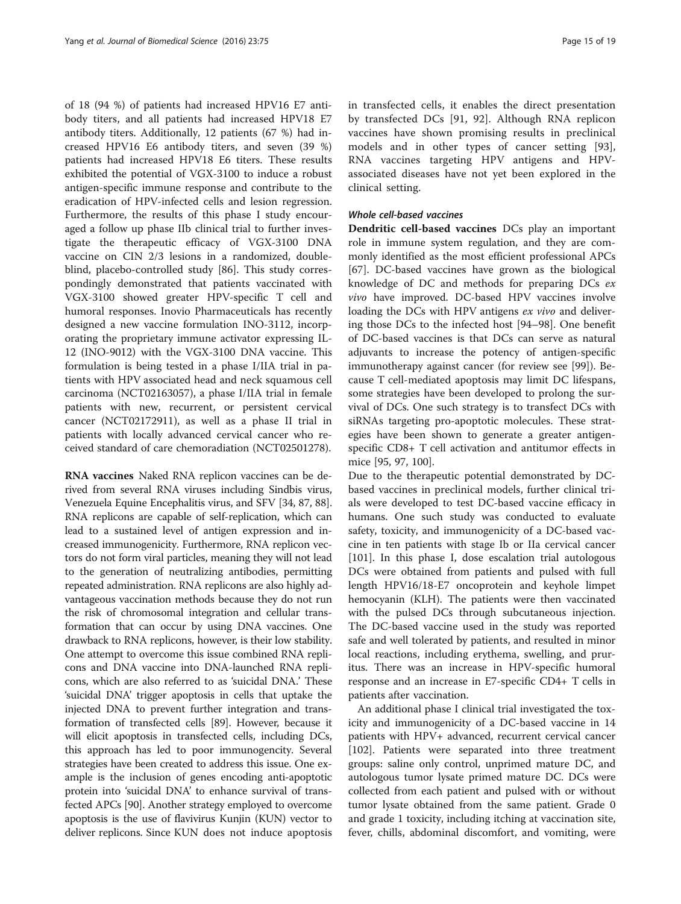of 18 (94 %) of patients had increased HPV16 E7 antibody titers, and all patients had increased HPV18 E7 antibody titers. Additionally, 12 patients (67 %) had increased HPV16 E6 antibody titers, and seven (39 %) patients had increased HPV18 E6 titers. These results exhibited the potential of VGX-3100 to induce a robust antigen-specific immune response and contribute to the eradication of HPV-infected cells and lesion regression. Furthermore, the results of this phase I study encouraged a follow up phase IIb clinical trial to further investigate the therapeutic efficacy of VGX-3100 DNA vaccine on CIN 2/3 lesions in a randomized, doubleblind, placebo-controlled study [[86\]](#page-18-0). This study correspondingly demonstrated that patients vaccinated with VGX-3100 showed greater HPV-specific T cell and humoral responses. Inovio Pharmaceuticals has recently designed a new vaccine formulation INO-3112, incorporating the proprietary immune activator expressing IL-12 (INO-9012) with the VGX-3100 DNA vaccine. This formulation is being tested in a phase I/IIA trial in patients with HPV associated head and neck squamous cell carcinoma (NCT02163057), a phase I/IIA trial in female patients with new, recurrent, or persistent cervical cancer (NCT02172911), as well as a phase II trial in patients with locally advanced cervical cancer who received standard of care chemoradiation (NCT02501278).

RNA vaccines Naked RNA replicon vaccines can be derived from several RNA viruses including Sindbis virus, Venezuela Equine Encephalitis virus, and SFV [[34](#page-16-0), [87, 88](#page-18-0)]. RNA replicons are capable of self-replication, which can lead to a sustained level of antigen expression and increased immunogenicity. Furthermore, RNA replicon vectors do not form viral particles, meaning they will not lead to the generation of neutralizing antibodies, permitting repeated administration. RNA replicons are also highly advantageous vaccination methods because they do not run the risk of chromosomal integration and cellular transformation that can occur by using DNA vaccines. One drawback to RNA replicons, however, is their low stability. One attempt to overcome this issue combined RNA replicons and DNA vaccine into DNA-launched RNA replicons, which are also referred to as 'suicidal DNA.' These 'suicidal DNA' trigger apoptosis in cells that uptake the injected DNA to prevent further integration and transformation of transfected cells [\[89](#page-18-0)]. However, because it will elicit apoptosis in transfected cells, including DCs, this approach has led to poor immunogencity. Several strategies have been created to address this issue. One example is the inclusion of genes encoding anti-apoptotic protein into 'suicidal DNA' to enhance survival of transfected APCs [[90](#page-18-0)]. Another strategy employed to overcome apoptosis is the use of flavivirus Kunjin (KUN) vector to deliver replicons. Since KUN does not induce apoptosis in transfected cells, it enables the direct presentation by transfected DCs [[91, 92](#page-18-0)]. Although RNA replicon vaccines have shown promising results in preclinical models and in other types of cancer setting [\[93](#page-18-0)], RNA vaccines targeting HPV antigens and HPVassociated diseases have not yet been explored in the clinical setting.

# Whole cell-based vaccines

Dendritic cell-based vaccines DCs play an important role in immune system regulation, and they are commonly identified as the most efficient professional APCs [[67\]](#page-17-0). DC-based vaccines have grown as the biological knowledge of DC and methods for preparing DCs ex vivo have improved. DC-based HPV vaccines involve loading the DCs with HPV antigens ex vivo and delivering those DCs to the infected host [\[94](#page-18-0)–[98\]](#page-18-0). One benefit of DC-based vaccines is that DCs can serve as natural adjuvants to increase the potency of antigen-specific immunotherapy against cancer (for review see [\[99\]](#page-18-0)). Because T cell-mediated apoptosis may limit DC lifespans, some strategies have been developed to prolong the survival of DCs. One such strategy is to transfect DCs with siRNAs targeting pro-apoptotic molecules. These strategies have been shown to generate a greater antigenspecific CD8+ T cell activation and antitumor effects in mice [\[95](#page-18-0), [97](#page-18-0), [100\]](#page-18-0).

Due to the therapeutic potential demonstrated by DCbased vaccines in preclinical models, further clinical trials were developed to test DC-based vaccine efficacy in humans. One such study was conducted to evaluate safety, toxicity, and immunogenicity of a DC-based vaccine in ten patients with stage Ib or IIa cervical cancer [[101\]](#page-18-0). In this phase I, dose escalation trial autologous DCs were obtained from patients and pulsed with full length HPV16/18-E7 oncoprotein and keyhole limpet hemocyanin (KLH). The patients were then vaccinated with the pulsed DCs through subcutaneous injection. The DC-based vaccine used in the study was reported safe and well tolerated by patients, and resulted in minor local reactions, including erythema, swelling, and pruritus. There was an increase in HPV-specific humoral response and an increase in E7-specific CD4+ T cells in patients after vaccination.

An additional phase I clinical trial investigated the toxicity and immunogenicity of a DC-based vaccine in 14 patients with HPV+ advanced, recurrent cervical cancer [[102\]](#page-18-0). Patients were separated into three treatment groups: saline only control, unprimed mature DC, and autologous tumor lysate primed mature DC. DCs were collected from each patient and pulsed with or without tumor lysate obtained from the same patient. Grade 0 and grade 1 toxicity, including itching at vaccination site, fever, chills, abdominal discomfort, and vomiting, were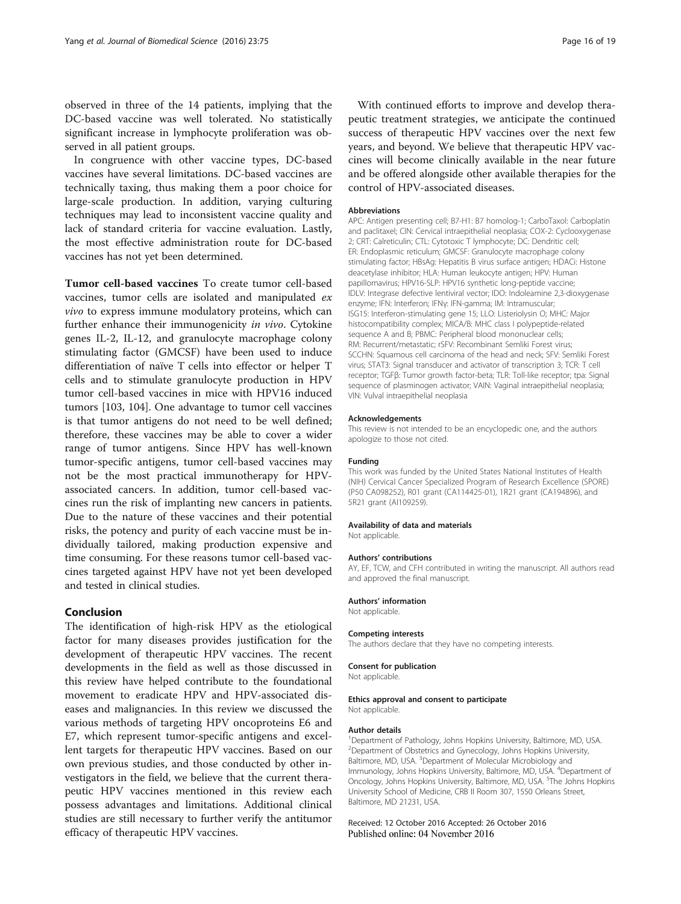observed in three of the 14 patients, implying that the DC-based vaccine was well tolerated. No statistically significant increase in lymphocyte proliferation was observed in all patient groups.

In congruence with other vaccine types, DC-based vaccines have several limitations. DC-based vaccines are technically taxing, thus making them a poor choice for large-scale production. In addition, varying culturing techniques may lead to inconsistent vaccine quality and lack of standard criteria for vaccine evaluation. Lastly, the most effective administration route for DC-based vaccines has not yet been determined.

Tumor cell-based vaccines To create tumor cell-based vaccines, tumor cells are isolated and manipulated ex vivo to express immune modulatory proteins, which can further enhance their immunogenicity in vivo. Cytokine genes IL-2, IL-12, and granulocyte macrophage colony stimulating factor (GMCSF) have been used to induce differentiation of naïve T cells into effector or helper T cells and to stimulate granulocyte production in HPV tumor cell-based vaccines in mice with HPV16 induced tumors [\[103, 104\]](#page-18-0). One advantage to tumor cell vaccines is that tumor antigens do not need to be well defined; therefore, these vaccines may be able to cover a wider range of tumor antigens. Since HPV has well-known tumor-specific antigens, tumor cell-based vaccines may not be the most practical immunotherapy for HPVassociated cancers. In addition, tumor cell-based vaccines run the risk of implanting new cancers in patients. Due to the nature of these vaccines and their potential risks, the potency and purity of each vaccine must be individually tailored, making production expensive and time consuming. For these reasons tumor cell-based vaccines targeted against HPV have not yet been developed and tested in clinical studies.

# Conclusion

The identification of high-risk HPV as the etiological factor for many diseases provides justification for the development of therapeutic HPV vaccines. The recent developments in the field as well as those discussed in this review have helped contribute to the foundational movement to eradicate HPV and HPV-associated diseases and malignancies. In this review we discussed the various methods of targeting HPV oncoproteins E6 and E7, which represent tumor-specific antigens and excellent targets for therapeutic HPV vaccines. Based on our own previous studies, and those conducted by other investigators in the field, we believe that the current therapeutic HPV vaccines mentioned in this review each possess advantages and limitations. Additional clinical studies are still necessary to further verify the antitumor efficacy of therapeutic HPV vaccines.

With continued efforts to improve and develop therapeutic treatment strategies, we anticipate the continued success of therapeutic HPV vaccines over the next few years, and beyond. We believe that therapeutic HPV vaccines will become clinically available in the near future and be offered alongside other available therapies for the control of HPV-associated diseases.

## Abbreviations

APC: Antigen presenting cell; B7-H1: B7 homolog-1; CarboTaxol: Carboplatin and paclitaxel; CIN: Cervical intraepithelial neoplasia; COX-2: Cyclooxygenase 2; CRT: Calreticulin; CTL: Cytotoxic T lymphocyte; DC: Dendritic cell; ER: Endoplasmic reticulum; GMCSF: Granulocyte macrophage colony stimulating factor; HBsAg: Hepatitis B virus surface antigen; HDACi: Histone deacetylase inhibitor; HLA: Human leukocyte antigen; HPV: Human papillomavirus; HPV16-SLP: HPV16 synthetic long-peptide vaccine; IDLV: Integrase defective lentiviral vector; IDO: Indoleamine 2,3-dioxygenase enzyme; IFN: Interferon; IFNγ: IFN-gamma; IM: Intramuscular; ISG15: Interferon-stimulating gene 15; LLO: Listeriolysin O; MHC: Major histocompatibility complex; MICA/B: MHC class I polypeptide-related sequence A and B; PBMC: Peripheral blood mononuclear cells; RM: Recurrent/metastatic; rSFV: Recombinant Semliki Forest virus; SCCHN: Squamous cell carcinoma of the head and neck; SFV: Semliki Forest virus; STAT3: Signal transducer and activator of transcription 3; TCR: T cell receptor; TGFβ: Tumor growth factor-beta; TLR: Toll-like receptor; tpa: Signal sequence of plasminogen activator; VAIN: Vaginal intraepithelial neoplasia; VIN: Vulval intraepithelial neoplasia

#### Acknowledgements

This review is not intended to be an encyclopedic one, and the authors apologize to those not cited.

#### Funding

This work was funded by the United States National Institutes of Health (NIH) Cervical Cancer Specialized Program of Research Excellence (SPORE) (P50 CA098252), R01 grant (CA114425-01), 1R21 grant (CA194896), and 5R21 grant (AI109259).

#### Availability of data and materials

Not applicable.

#### Authors' contributions

AY, EF, TCW, and CFH contributed in writing the manuscript. All authors read and approved the final manuscript.

#### Authors' information

Not applicable.

#### Competing interests

The authors declare that they have no competing interests.

#### Consent for publication

Not applicable.

#### Ethics approval and consent to participate

Not applicable.

#### Author details

<sup>1</sup>Department of Pathology, Johns Hopkins University, Baltimore, MD, USA. 2 Department of Obstetrics and Gynecology, Johns Hopkins University, Baltimore, MD, USA. <sup>3</sup>Department of Molecular Microbiology and Immunology, Johns Hopkins University, Baltimore, MD, USA. <sup>4</sup>Department of Oncology, Johns Hopkins University, Baltimore, MD, USA. <sup>5</sup>The Johns Hopkins University School of Medicine, CRB II Room 307, 1550 Orleans Street, Baltimore, MD 21231, USA.

Received: 12 October 2016 Accepted: 26 October 2016 Published online: 04 November 2016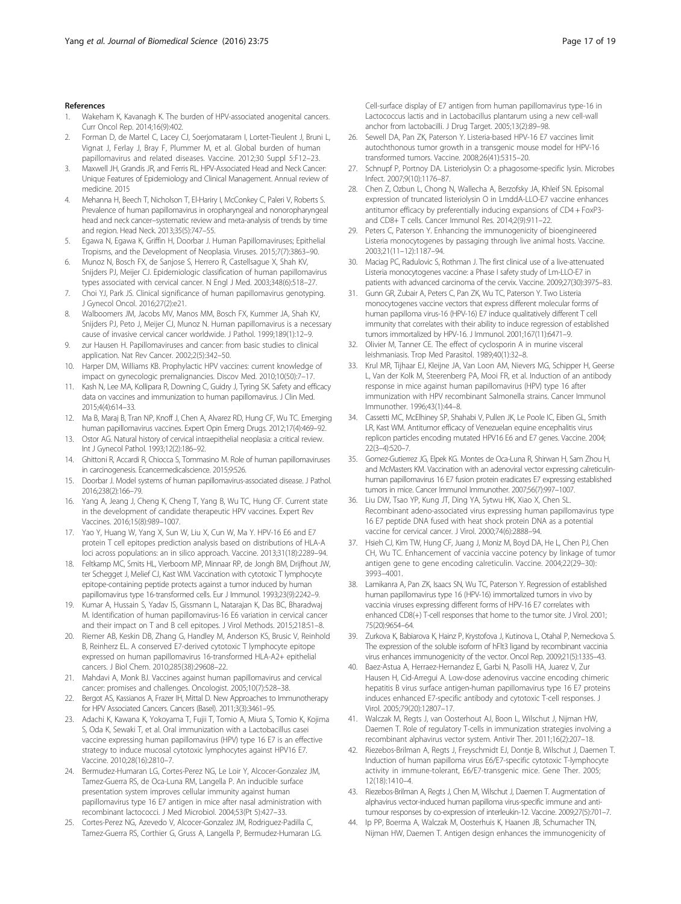## <span id="page-16-0"></span>References

- Wakeham K, Kavanagh K. The burden of HPV-associated anogenital cancers. Curr Oncol Rep. 2014;16(9):402.
- Forman D, de Martel C, Lacey CJ, Soerjomataram I, Lortet-Tieulent J, Bruni L, Vignat J, Ferlay J, Bray F, Plummer M, et al. Global burden of human papillomavirus and related diseases. Vaccine. 2012;30 Suppl 5:F12–23.
- Maxwell JH, Grandis JR, and Ferris RL. HPV-Associated Head and Neck Cancer: Unique Features of Epidemiology and Clinical Management. Annual review of medicine. 2015
- 4. Mehanna H, Beech T, Nicholson T, El-Hariry I, McConkey C, Paleri V, Roberts S. Prevalence of human papillomavirus in oropharyngeal and nonoropharyngeal head and neck cancer–systematic review and meta-analysis of trends by time and region. Head Neck. 2013;35(5):747–55.
- 5. Egawa N, Egawa K, Griffin H, Doorbar J. Human Papillomaviruses; Epithelial Tropisms, and the Development of Neoplasia. Viruses. 2015;7(7):3863–90.
- Munoz N, Bosch FX, de Sanjose S, Herrero R, Castellsague X, Shah KV, Snijders PJ, Meijer CJ. Epidemiologic classification of human papillomavirus types associated with cervical cancer. N Engl J Med. 2003;348(6):518–27.
- 7. Choi YJ, Park JS. Clinical significance of human papillomavirus genotyping. J Gynecol Oncol. 2016;27(2):e21.
- 8. Walboomers JM, Jacobs MV, Manos MM, Bosch FX, Kummer JA, Shah KV, Snijders PJ, Peto J, Meijer CJ, Munoz N. Human papillomavirus is a necessary cause of invasive cervical cancer worldwide. J Pathol. 1999;189(1):12–9.
- 9. zur Hausen H. Papillomaviruses and cancer: from basic studies to clinical application. Nat Rev Cancer. 2002;2(5):342–50.
- 10. Harper DM, Williams KB. Prophylactic HPV vaccines: current knowledge of impact on gynecologic premalignancies. Discov Med. 2010;10(50):7–17.
- 11. Kash N, Lee MA, Kollipara R, Downing C, Guidry J, Tyring SK. Safety and efficacy data on vaccines and immunization to human papillomavirus. J Clin Med. 2015;4(4):614–33.
- 12. Ma B, Maraj B, Tran NP, Knoff J, Chen A, Alvarez RD, Hung CF, Wu TC. Emerging human papillomavirus vaccines. Expert Opin Emerg Drugs. 2012;17(4):469–92.
- 13. Ostor AG. Natural history of cervical intraepithelial neoplasia: a critical review. Int J Gynecol Pathol. 1993;12(2):186–92.
- 14. Ghittoni R, Accardi R, Chiocca S, Tommasino M. Role of human papillomaviruses in carcinogenesis. Ecancermedicalscience. 2015;9:526.
- 15. Doorbar J. Model systems of human papillomavirus-associated disease. J Pathol. 2016;238(2):166–79.
- 16. Yang A, Jeang J, Cheng K, Cheng T, Yang B, Wu TC, Hung CF. Current state in the development of candidate therapeutic HPV vaccines. Expert Rev Vaccines. 2016;15(8):989–1007.
- 17. Yao Y, Huang W, Yang X, Sun W, Liu X, Cun W, Ma Y. HPV-16 E6 and E7 protein T cell epitopes prediction analysis based on distributions of HLA-A loci across populations: an in silico approach. Vaccine. 2013;31(18):2289–94.
- 18. Feltkamp MC, Smits HL, Vierboom MP, Minnaar RP, de Jongh BM, Drijfhout JW, ter Schegget J, Melief CJ, Kast WM. Vaccination with cytotoxic T lymphocyte epitope-containing peptide protects against a tumor induced by human papillomavirus type 16-transformed cells. Eur J Immunol. 1993;23(9):2242–9.
- 19. Kumar A, Hussain S, Yadav IS, Gissmann L, Natarajan K, Das BC, Bharadwaj M. Identification of human papillomavirus-16 E6 variation in cervical cancer and their impact on T and B cell epitopes. J Virol Methods. 2015;218:51–8.
- 20. Riemer AB, Keskin DB, Zhang G, Handley M, Anderson KS, Brusic V, Reinhold B, Reinherz EL. A conserved E7-derived cytotoxic T lymphocyte epitope expressed on human papillomavirus 16-transformed HLA-A2+ epithelial cancers. J Biol Chem. 2010;285(38):29608–22.
- 21. Mahdavi A, Monk BJ. Vaccines against human papillomavirus and cervical cancer: promises and challenges. Oncologist. 2005;10(7):528–38.
- 22. Bergot AS, Kassianos A, Frazer IH, Mittal D. New Approaches to Immunotherapy for HPV Associated Cancers. Cancers (Basel). 2011;3(3):3461–95.
- 23. Adachi K, Kawana K, Yokoyama T, Fujii T, Tomio A, Miura S, Tomio K, Kojima S, Oda K, Sewaki T, et al. Oral immunization with a Lactobacillus casei vaccine expressing human papillomavirus (HPV) type 16 E7 is an effective strategy to induce mucosal cytotoxic lymphocytes against HPV16 E7. Vaccine. 2010;28(16):2810–7.
- 24. Bermudez-Humaran LG, Cortes-Perez NG, Le Loir Y, Alcocer-Gonzalez JM, Tamez-Guerra RS, de Oca-Luna RM, Langella P. An inducible surface presentation system improves cellular immunity against human papillomavirus type 16 E7 antigen in mice after nasal administration with recombinant lactococci. J Med Microbiol. 2004;53(Pt 5):427–33.
- 25. Cortes-Perez NG, Azevedo V, Alcocer-Gonzalez JM, Rodriguez-Padilla C, Tamez-Guerra RS, Corthier G, Gruss A, Langella P, Bermudez-Humaran LG.

Cell-surface display of E7 antigen from human papillomavirus type-16 in Lactococcus lactis and in Lactobacillus plantarum using a new cell-wall anchor from lactobacilli. J Drug Target. 2005;13(2):89–98.

- 26. Sewell DA, Pan ZK, Paterson Y. Listeria-based HPV-16 E7 vaccines limit autochthonous tumor growth in a transgenic mouse model for HPV-16 transformed tumors. Vaccine. 2008;26(41):5315–20.
- 27. Schnupf P, Portnoy DA. Listeriolysin O: a phagosome-specific lysin. Microbes Infect. 2007;9(10):1176–87.
- 28. Chen Z, Ozbun L, Chong N, Wallecha A, Berzofsky JA, Khleif SN. Episomal expression of truncated listeriolysin O in LmddA-LLO-E7 vaccine enhances antitumor efficacy by preferentially inducing expansions of CD4 + FoxP3 and CD8+ T cells. Cancer Immunol Res. 2014;2(9):911–22.
- 29. Peters C, Paterson Y. Enhancing the immunogenicity of bioengineered Listeria monocytogenes by passaging through live animal hosts. Vaccine. 2003;21(11–12):1187–94.
- 30. Maciag PC, Radulovic S, Rothman J. The first clinical use of a live-attenuated Listeria monocytogenes vaccine: a Phase I safety study of Lm-LLO-E7 in patients with advanced carcinoma of the cervix. Vaccine. 2009;27(30):3975–83.
- 31. Gunn GR, Zubair A, Peters C, Pan ZK, Wu TC, Paterson Y. Two Listeria monocytogenes vaccine vectors that express different molecular forms of human papilloma virus-16 (HPV-16) E7 induce qualitatively different T cell immunity that correlates with their ability to induce regression of established tumors immortalized by HPV-16. J Immunol. 2001;167(11):6471–9.
- 32. Olivier M, Tanner CE. The effect of cyclosporin A in murine visceral leishmaniasis. Trop Med Parasitol. 1989;40(1):32–8.
- 33. Krul MR, Tijhaar EJ, Kleijne JA, Van Loon AM, Nievers MG, Schipper H, Geerse L, Van der Kolk M, Steerenberg PA, Mooi FR, et al. Induction of an antibody response in mice against human papillomavirus (HPV) type 16 after immunization with HPV recombinant Salmonella strains. Cancer Immunol Immunother. 1996;43(1):44–8.
- 34. Cassetti MC, McElhiney SP, Shahabi V, Pullen JK, Le Poole IC, Eiben GL, Smith LR, Kast WM. Antitumor efficacy of Venezuelan equine encephalitis virus replicon particles encoding mutated HPV16 E6 and E7 genes. Vaccine. 2004; 22(3–4):520–7.
- 35. Gomez-Gutierrez JG, Elpek KG. Montes de Oca-Luna R, Shirwan H, Sam Zhou H, and McMasters KM. Vaccination with an adenoviral vector expressing calreticulinhuman papillomavirus 16 E7 fusion protein eradicates E7 expressing established tumors in mice. Cancer Immunol Immunother. 2007;56(7):997–1007.
- 36. Liu DW, Tsao YP, Kung JT, Ding YA, Sytwu HK, Xiao X, Chen SL. Recombinant adeno-associated virus expressing human papillomavirus type 16 E7 peptide DNA fused with heat shock protein DNA as a potential vaccine for cervical cancer. J Virol. 2000;74(6):2888–94.
- 37. Hsieh CJ, Kim TW, Hung CF, Juang J, Moniz M, Boyd DA, He L, Chen PJ, Chen CH, Wu TC. Enhancement of vaccinia vaccine potency by linkage of tumor antigen gene to gene encoding calreticulin. Vaccine. 2004;22(29–30): 3993–4001.
- 38. Lamikanra A, Pan ZK, Isaacs SN, Wu TC, Paterson Y. Regression of established human papillomavirus type 16 (HPV-16) immortalized tumors in vivo by vaccinia viruses expressing different forms of HPV-16 E7 correlates with enhanced CD8(+) T-cell responses that home to the tumor site. J Virol. 2001; 75(20):9654–64.
- 39. Zurkova K, Babiarova K, Hainz P, Krystofova J, Kutinova L, Otahal P, Nemeckova S. The expression of the soluble isoform of hFlt3 ligand by recombinant vaccinia virus enhances immunogenicity of the vector. Oncol Rep. 2009;21(5):1335–43.
- 40. Baez-Astua A, Herraez-Hernandez E, Garbi N, Pasolli HA, Juarez V, Zur Hausen H, Cid-Arregui A. Low-dose adenovirus vaccine encoding chimeric hepatitis B virus surface antigen-human papillomavirus type 16 E7 proteins induces enhanced E7-specific antibody and cytotoxic T-cell responses. J Virol. 2005;79(20):12807–17.
- 41. Walczak M, Regts J, van Oosterhout AJ, Boon L, Wilschut J, Nijman HW, Daemen T. Role of regulatory T-cells in immunization strategies involving a recombinant alphavirus vector system. Antivir Ther. 2011;16(2):207–18.
- 42. Riezebos-Brilman A, Regts J, Freyschmidt EJ, Dontje B, Wilschut J, Daemen T. Induction of human papilloma virus E6/E7-specific cytotoxic T-lymphocyte activity in immune-tolerant, E6/E7-transgenic mice. Gene Ther. 2005; 12(18):1410–4.
- 43. Riezebos-Brilman A, Regts J, Chen M, Wilschut J, Daemen T. Augmentation of alphavirus vector-induced human papilloma virus-specific immune and antitumour responses by co-expression of interleukin-12. Vaccine. 2009;27(5):701–7.
- 44. Ip PP, Boerma A, Walczak M, Oosterhuis K, Haanen JB, Schumacher TN, Nijman HW, Daemen T. Antigen design enhances the immunogenicity of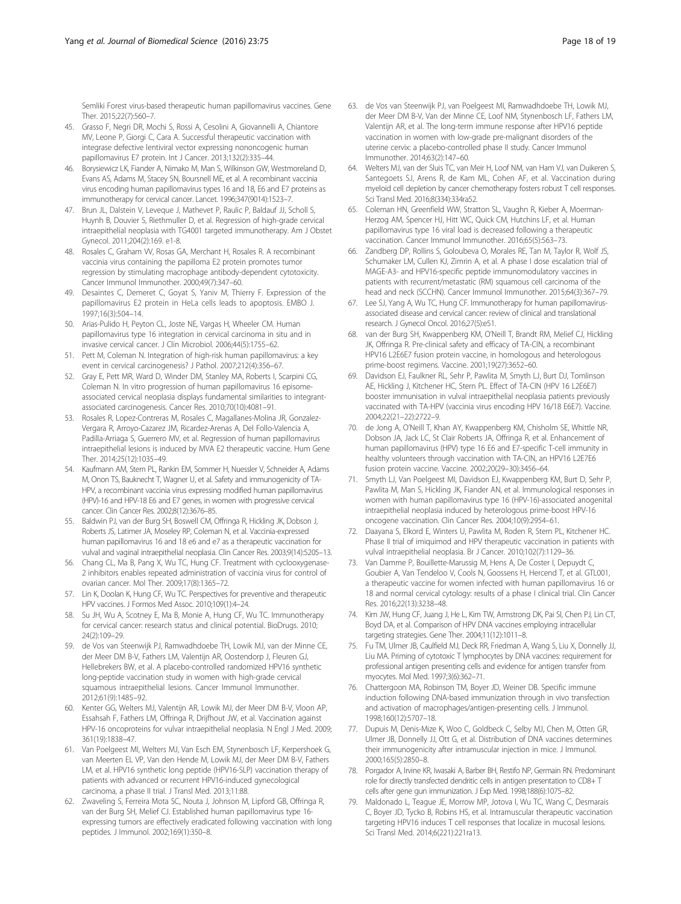<span id="page-17-0"></span>Semliki Forest virus-based therapeutic human papillomavirus vaccines. Gene Ther. 2015;22(7):560–7.

- 45. Grasso F, Negri DR, Mochi S, Rossi A, Cesolini A, Giovannelli A, Chiantore MV, Leone P, Giorgi C, Cara A. Successful therapeutic vaccination with integrase defective lentiviral vector expressing nononcogenic human papillomavirus E7 protein. Int J Cancer. 2013;132(2):335–44.
- 46. Borysiewicz LK, Fiander A, Nimako M, Man S, Wilkinson GW, Westmoreland D, Evans AS, Adams M, Stacey SN, Boursnell ME, et al. A recombinant vaccinia virus encoding human papillomavirus types 16 and 18, E6 and E7 proteins as immunotherapy for cervical cancer. Lancet. 1996;347(9014):1523–7.
- 47. Brun JL, Dalstein V, Leveque J, Mathevet P, Raulic P, Baldauf JJ, Scholl S, Huynh B, Douvier S, Riethmuller D, et al. Regression of high-grade cervical intraepithelial neoplasia with TG4001 targeted immunotherapy. Am J Obstet Gynecol. 2011;204(2):169. e1-8.
- 48. Rosales C, Graham VV, Rosas GA, Merchant H, Rosales R. A recombinant vaccinia virus containing the papilloma E2 protein promotes tumor regression by stimulating macrophage antibody-dependent cytotoxicity. Cancer Immunol Immunother. 2000;49(7):347–60.
- 49. Desaintes C, Demeret C, Goyat S, Yaniv M, Thierry F. Expression of the papillomavirus E2 protein in HeLa cells leads to apoptosis. EMBO J. 1997;16(3):504–14.
- 50. Arias-Pulido H, Peyton CL, Joste NE, Vargas H, Wheeler CM. Human papillomavirus type 16 integration in cervical carcinoma in situ and in invasive cervical cancer. J Clin Microbiol. 2006;44(5):1755–62.
- 51. Pett M, Coleman N. Integration of high-risk human papillomavirus: a key event in cervical carcinogenesis? J Pathol. 2007;212(4):356–67.
- 52. Gray E, Pett MR, Ward D, Winder DM, Stanley MA, Roberts I, Scarpini CG, Coleman N. In vitro progression of human papillomavirus 16 episomeassociated cervical neoplasia displays fundamental similarities to integrantassociated carcinogenesis. Cancer Res. 2010;70(10):4081–91.
- 53. Rosales R, Lopez-Contreras M, Rosales C, Magallanes-Molina JR, Gonzalez-Vergara R, Arroyo-Cazarez JM, Ricardez-Arenas A, Del Follo-Valencia A, Padilla-Arriaga S, Guerrero MV, et al. Regression of human papillomavirus intraepithelial lesions is induced by MVA E2 therapeutic vaccine. Hum Gene Ther. 2014;25(12):1035–49.
- 54. Kaufmann AM, Stern PL, Rankin EM, Sommer H, Nuessler V, Schneider A, Adams M, Onon TS, Bauknecht T, Wagner U, et al. Safety and immunogenicity of TA-HPV, a recombinant vaccinia virus expressing modified human papillomavirus (HPV)-16 and HPV-18 E6 and E7 genes, in women with progressive cervical cancer. Clin Cancer Res. 2002;8(12):3676–85.
- 55. Baldwin PJ, van der Burg SH, Boswell CM, Offringa R, Hickling JK, Dobson J, Roberts JS, Latimer JA, Moseley RP, Coleman N, et al. Vaccinia-expressed human papillomavirus 16 and 18 e6 and e7 as a therapeutic vaccination for vulval and vaginal intraepithelial neoplasia. Clin Cancer Res. 2003;9(14):5205–13.
- 56. Chang CL, Ma B, Pang X, Wu TC, Hung CF. Treatment with cyclooxygenase-2 inhibitors enables repeated administration of vaccinia virus for control of ovarian cancer. Mol Ther. 2009;17(8):1365–72.
- 57. Lin K, Doolan K, Hung CF, Wu TC. Perspectives for preventive and therapeutic HPV vaccines. J Formos Med Assoc. 2010;109(1):4–24.
- 58. Su JH, Wu A, Scotney E, Ma B, Monie A, Hung CF, Wu TC. Immunotherapy for cervical cancer: research status and clinical potential. BioDrugs. 2010; 24(2):109–29.
- 59. de Vos van Steenwijk PJ, Ramwadhdoebe TH, Lowik MJ, van der Minne CE, der Meer DM B-V, Fathers LM, Valentijn AR, Oostendorp J, Fleuren GJ, Hellebrekers BW, et al. A placebo-controlled randomized HPV16 synthetic long-peptide vaccination study in women with high-grade cervical squamous intraepithelial lesions. Cancer Immunol Immunother. 2012;61(9):1485–92.
- 60. Kenter GG, Welters MJ, Valentijn AR, Lowik MJ, der Meer DM B-V, Vloon AP, Essahsah F, Fathers LM, Offringa R, Drijfhout JW, et al. Vaccination against HPV-16 oncoproteins for vulvar intraepithelial neoplasia. N Engl J Med. 2009; 361(19):1838–47.
- 61. Van Poelgeest MI, Welters MJ, Van Esch EM, Stynenbosch LF, Kerpershoek G, van Meerten EL VP, Van den Hende M, Lowik MJ, der Meer DM B-V, Fathers LM, et al. HPV16 synthetic long peptide (HPV16-SLP) vaccination therapy of patients with advanced or recurrent HPV16-induced gynecological carcinoma, a phase II trial. J Transl Med. 2013;11:88.
- 62. Zwaveling S, Ferreira Mota SC, Nouta J, Johnson M, Lipford GB, Offringa R, van der Burg SH, Melief CJ. Established human papillomavirus type 16 expressing tumors are effectively eradicated following vaccination with long peptides. J Immunol. 2002;169(1):350–8.
- 63. de Vos van Steenwijk PJ, van Poelgeest MI, Ramwadhdoebe TH, Lowik MJ, der Meer DM B-V, Van der Minne CE, Loof NM, Stynenbosch LF, Fathers LM, Valentijn AR, et al. The long-term immune response after HPV16 peptide vaccination in women with low-grade pre-malignant disorders of the uterine cervix: a placebo-controlled phase II study. Cancer Immunol Immunother. 2014;63(2):147–60.
- Welters MJ, van der Sluis TC, van Meir H, Loof NM, van Ham VJ, van Duikeren S, Santegoets SJ, Arens R, de Kam ML, Cohen AF, et al. Vaccination during myeloid cell depletion by cancer chemotherapy fosters robust T cell responses. Sci Transl Med. 2016;8(334):334ra52.
- 65. Coleman HN, Greenfield WW, Stratton SL, Vaughn R, Kieber A, Moerman-Herzog AM, Spencer HJ, Hitt WC, Quick CM, Hutchins LF, et al. Human papillomavirus type 16 viral load is decreased following a therapeutic vaccination. Cancer Immunol Immunother. 2016;65(5):563–73.
- 66. Zandberg DP, Rollins S, Goloubeva O, Morales RE, Tan M, Taylor R, Wolf JS, Schumaker LM, Cullen KJ, Zimrin A, et al. A phase I dose escalation trial of MAGE-A3- and HPV16-specific peptide immunomodulatory vaccines in patients with recurrent/metastatic (RM) squamous cell carcinoma of the head and neck (SCCHN). Cancer Immunol Immunother. 2015;64(3):367–79.
- 67. Lee SJ, Yang A, Wu TC, Hung CF. Immunotherapy for human papillomavirusassociated disease and cervical cancer: review of clinical and translational research. J Gynecol Oncol. 2016;27(5):e51.
- 68. van der Burg SH, Kwappenberg KM, O'Neill T, Brandt RM, Melief CJ, Hickling JK, Offringa R. Pre-clinical safety and efficacy of TA-CIN, a recombinant HPV16 L2E6E7 fusion protein vaccine, in homologous and heterologous prime-boost regimens. Vaccine. 2001;19(27):3652–60.
- 69. Davidson EJ, Faulkner RL, Sehr P, Pawlita M, Smyth LJ, Burt DJ, Tomlinson AE, Hickling J, Kitchener HC, Stern PL. Effect of TA-CIN (HPV 16 L2E6E7) booster immunisation in vulval intraepithelial neoplasia patients previously vaccinated with TA-HPV (vaccinia virus encoding HPV 16/18 E6E7). Vaccine. 2004;22(21–22):2722–9.
- 70. de Jong A, O'Neill T, Khan AY, Kwappenberg KM, Chisholm SE, Whittle NR, Dobson JA, Jack LC, St Clair Roberts JA, Offringa R, et al. Enhancement of human papillomavirus (HPV) type 16 E6 and E7-specific T-cell immunity in healthy volunteers through vaccination with TA-CIN, an HPV16 L2E7E6 fusion protein vaccine. Vaccine. 2002;20(29–30):3456–64.
- 71. Smyth LJ, Van Poelgeest MI, Davidson EJ, Kwappenberg KM, Burt D, Sehr P, Pawlita M, Man S, Hickling JK, Fiander AN, et al. Immunological responses in women with human papillomavirus type 16 (HPV-16)-associated anogenital intraepithelial neoplasia induced by heterologous prime-boost HPV-16 oncogene vaccination. Clin Cancer Res. 2004;10(9):2954–61.
- 72. Daayana S, Elkord E, Winters U, Pawlita M, Roden R, Stern PL, Kitchener HC. Phase II trial of imiquimod and HPV therapeutic vaccination in patients with vulval intraepithelial neoplasia. Br J Cancer. 2010;102(7):1129–36.
- 73. Van Damme P, Bouillette-Marussig M, Hens A, De Coster I, Depuydt C, Goubier A, Van Tendeloo V, Cools N, Goossens H, Hercend T, et al. GTL001, a therapeutic vaccine for women infected with human papillomavirus 16 or 18 and normal cervical cytology: results of a phase I clinical trial. Clin Cancer Res. 2016;22(13):3238–48.
- 74. Kim JW, Hung CF, Juang J, He L, Kim TW, Armstrong DK, Pai SI, Chen PJ, Lin CT, Boyd DA, et al. Comparison of HPV DNA vaccines employing intracellular targeting strategies. Gene Ther. 2004;11(12):1011–8.
- 75. Fu TM, Ulmer JB, Caulfield MJ, Deck RR, Friedman A, Wang S, Liu X, Donnelly JJ, Liu MA. Priming of cytotoxic T lymphocytes by DNA vaccines: requirement for professional antigen presenting cells and evidence for antigen transfer from myocytes. Mol Med. 1997;3(6):362–71.
- 76. Chattergoon MA, Robinson TM, Boyer JD, Weiner DB. Specific immune induction following DNA-based immunization through in vivo transfection and activation of macrophages/antigen-presenting cells. J Immunol. 1998;160(12):5707–18.
- 77. Dupuis M, Denis-Mize K, Woo C, Goldbeck C, Selby MJ, Chen M, Otten GR, Ulmer JB, Donnelly JJ, Ott G, et al. Distribution of DNA vaccines determines their immunogenicity after intramuscular injection in mice. J Immunol. 2000;165(5):2850–8.
- 78. Porgador A, Irvine KR, Iwasaki A, Barber BH, Restifo NP, Germain RN. Predominant role for directly transfected dendritic cells in antigen presentation to CD8+ T cells after gene gun immunization. J Exp Med. 1998;188(6):1075–82.
- 79. Maldonado L, Teague JE, Morrow MP, Jotova I, Wu TC, Wang C, Desmarais C, Boyer JD, Tycko B, Robins HS, et al. Intramuscular therapeutic vaccination targeting HPV16 induces T cell responses that localize in mucosal lesions. Sci Transl Med. 2014;6(221):221ra13.